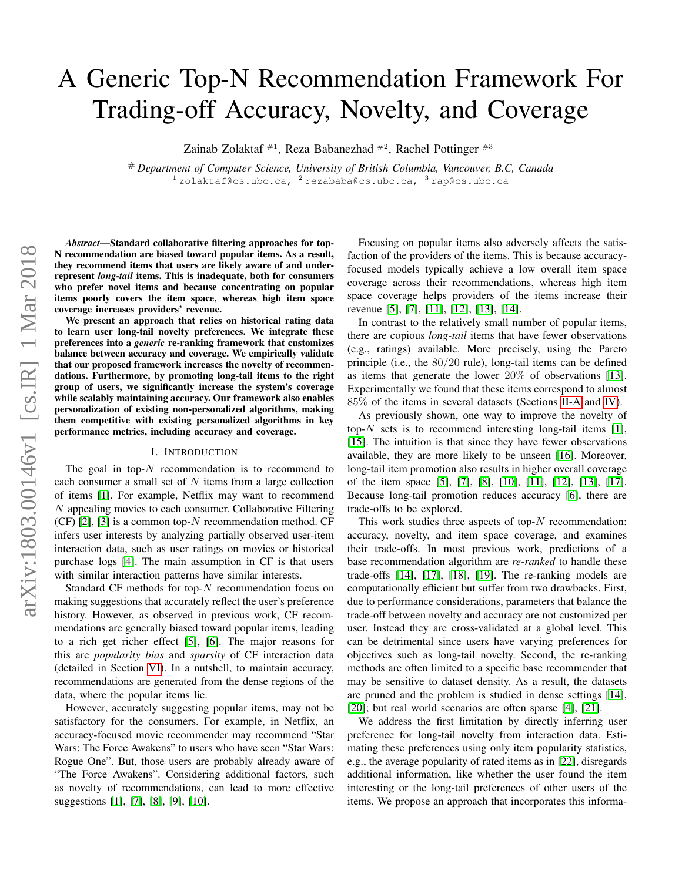# A Generic Top-N Recommendation Framework For Trading-off Accuracy, Novelty, and Coverage

Zainab Zolaktaf  $#^1$ , Reza Babanezhad  $#^2$ , Rachel Pottinger  $#^3$ 

# *Department of Computer Science, University of British Columbia, Vancouver, B.C, Canada*  $^{1}$ zolaktaf@cs.ubc.ca,  $^{2}$ rezababa@cs.ubc.ca,  $^{3}$ rap@cs.ubc.ca

*Abstract*—Standard collaborative filtering approaches for top-N recommendation are biased toward popular items. As a result, they recommend items that users are likely aware of and underrepresent *long-tail* items. This is inadequate, both for consumers who prefer novel items and because concentrating on popular items poorly covers the item space, whereas high item space coverage increases providers' revenue.

We present an approach that relies on historical rating data to learn user long-tail novelty preferences. We integrate these preferences into a *generic* re-ranking framework that customizes balance between accuracy and coverage. We empirically validate that our proposed framework increases the novelty of recommendations. Furthermore, by promoting long-tail items to the right group of users, we significantly increase the system's coverage while scalably maintaining accuracy. Our framework also enables personalization of existing non-personalized algorithms, making them competitive with existing personalized algorithms in key performance metrics, including accuracy and coverage.

## I. INTRODUCTION

The goal in top- $N$  recommendation is to recommend to each consumer a small set of  $N$  items from a large collection of items [\[1\]](#page-12-0). For example, Netflix may want to recommend N appealing movies to each consumer. Collaborative Filtering  $(CF)$  [\[2\]](#page-12-1), [\[3\]](#page-12-2) is a common top-N recommendation method. CF infers user interests by analyzing partially observed user-item interaction data, such as user ratings on movies or historical purchase logs [\[4\]](#page-12-3). The main assumption in CF is that users with similar interaction patterns have similar interests.

Standard CF methods for top- $N$  recommendation focus on making suggestions that accurately reflect the user's preference history. However, as observed in previous work, CF recommendations are generally biased toward popular items, leading to a rich get richer effect [\[5\]](#page-12-4), [\[6\]](#page-12-5). The major reasons for this are *popularity bias* and *sparsity* of CF interaction data (detailed in Section [VI\)](#page-10-0). In a nutshell, to maintain accuracy, recommendations are generated from the dense regions of the data, where the popular items lie.

However, accurately suggesting popular items, may not be satisfactory for the consumers. For example, in Netflix, an accuracy-focused movie recommender may recommend "Star Wars: The Force Awakens" to users who have seen "Star Wars: Rogue One". But, those users are probably already aware of "The Force Awakens". Considering additional factors, such as novelty of recommendations, can lead to more effective suggestions [\[1\]](#page-12-0), [\[7\]](#page-12-6), [\[8\]](#page-12-7), [\[9\]](#page-12-8), [\[10\]](#page-12-9).

Focusing on popular items also adversely affects the satisfaction of the providers of the items. This is because accuracyfocused models typically achieve a low overall item space coverage across their recommendations, whereas high item space coverage helps providers of the items increase their revenue [\[5\]](#page-12-4), [\[7\]](#page-12-6), [\[11\]](#page-12-10), [\[12\]](#page-12-11), [\[13\]](#page-12-12), [\[14\]](#page-12-13).

In contrast to the relatively small number of popular items, there are copious *long-tail* items that have fewer observations (e.g., ratings) available. More precisely, using the Pareto principle (i.e., the 80/20 rule), long-tail items can be defined as items that generate the lower 20% of observations [\[13\]](#page-12-12). Experimentally we found that these items correspond to almost 85% of the items in several datasets (Sections [II-A](#page-1-0) and [IV\)](#page-4-0).

As previously shown, one way to improve the novelty of top- $N$  sets is to recommend interesting long-tail items [\[1\]](#page-12-0), [\[15\]](#page-12-14). The intuition is that since they have fewer observations available, they are more likely to be unseen [\[16\]](#page-12-15). Moreover, long-tail item promotion also results in higher overall coverage of the item space [\[5\]](#page-12-4), [\[7\]](#page-12-6), [\[8\]](#page-12-7), [\[10\]](#page-12-9), [\[11\]](#page-12-10), [\[12\]](#page-12-11), [\[13\]](#page-12-12), [\[17\]](#page-12-16). Because long-tail promotion reduces accuracy [\[6\]](#page-12-5), there are trade-offs to be explored.

This work studies three aspects of top- $N$  recommendation: accuracy, novelty, and item space coverage, and examines their trade-offs. In most previous work, predictions of a base recommendation algorithm are *re-ranked* to handle these trade-offs [\[14\]](#page-12-13), [\[17\]](#page-12-16), [\[18\]](#page-12-17), [\[19\]](#page-12-18). The re-ranking models are computationally efficient but suffer from two drawbacks. First, due to performance considerations, parameters that balance the trade-off between novelty and accuracy are not customized per user. Instead they are cross-validated at a global level. This can be detrimental since users have varying preferences for objectives such as long-tail novelty. Second, the re-ranking methods are often limited to a specific base recommender that may be sensitive to dataset density. As a result, the datasets are pruned and the problem is studied in dense settings [\[14\]](#page-12-13), [\[20\]](#page-12-19); but real world scenarios are often sparse [\[4\]](#page-12-3), [\[21\]](#page-12-20).

We address the first limitation by directly inferring user preference for long-tail novelty from interaction data. Estimating these preferences using only item popularity statistics, e.g., the average popularity of rated items as in [\[22\]](#page-12-21), disregards additional information, like whether the user found the item interesting or the long-tail preferences of other users of the items. We propose an approach that incorporates this informa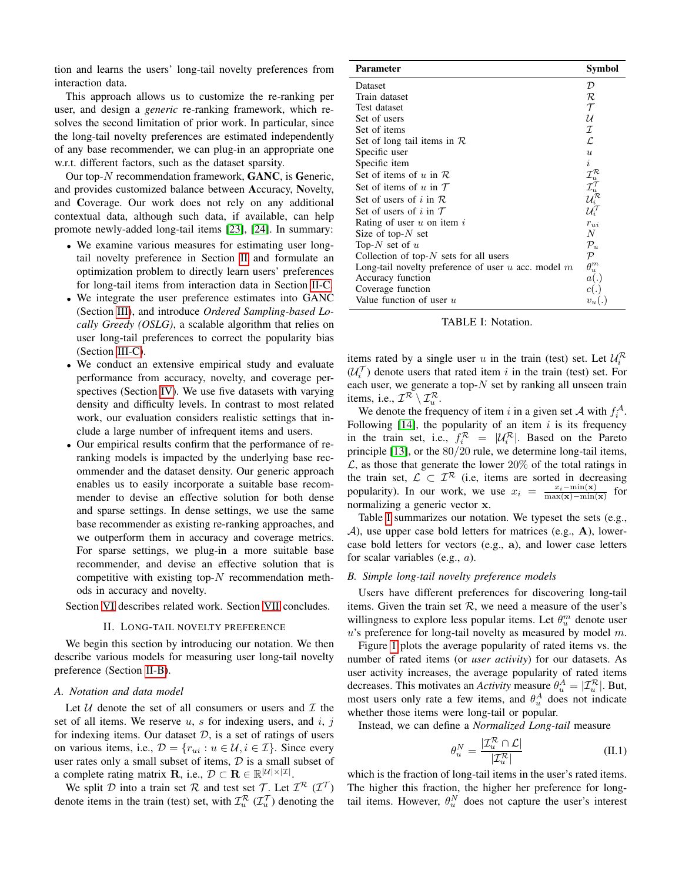tion and learns the users' long-tail novelty preferences from interaction data.

This approach allows us to customize the re-ranking per user, and design a *generic* re-ranking framework, which resolves the second limitation of prior work. In particular, since the long-tail novelty preferences are estimated independently of any base recommender, we can plug-in an appropriate one w.r.t. different factors, such as the dataset sparsity.

Our top-N recommendation framework, GANC, is Generic, and provides customized balance between Accuracy, Novelty, and Coverage. Our work does not rely on any additional contextual data, although such data, if available, can help promote newly-added long-tail items [\[23\]](#page-12-22), [\[24\]](#page-12-23). In summary:

- We examine various measures for estimating user longtail novelty preference in Section [II](#page-1-1) and formulate an optimization problem to directly learn users' preferences for long-tail items from interaction data in Section [II-C.](#page-2-0)
- We integrate the user preference estimates into GANC (Section [III\)](#page-3-0), and introduce *Ordered Sampling-based Locally Greedy (OSLG)*, a scalable algorithm that relies on user long-tail preferences to correct the popularity bias (Section [III-C\)](#page-3-1).
- We conduct an extensive empirical study and evaluate performance from accuracy, novelty, and coverage perspectives (Section [IV\)](#page-4-0). We use five datasets with varying density and difficulty levels. In contrast to most related work, our evaluation considers realistic settings that include a large number of infrequent items and users.
- Our empirical results confirm that the performance of reranking models is impacted by the underlying base recommender and the dataset density. Our generic approach enables us to easily incorporate a suitable base recommender to devise an effective solution for both dense and sparse settings. In dense settings, we use the same base recommender as existing re-ranking approaches, and we outperform them in accuracy and coverage metrics. For sparse settings, we plug-in a more suitable base recommender, and devise an effective solution that is competitive with existing top- $N$  recommendation methods in accuracy and novelty.

<span id="page-1-1"></span>Section [VI](#page-10-0) describes related work. Section [VII](#page-11-0) concludes.

## II. LONG-TAIL NOVELTY PREFERENCE

We begin this section by introducing our notation. We then describe various models for measuring user long-tail novelty preference (Section [II-B\)](#page-1-2).

## <span id="page-1-0"></span>*A. Notation and data model*

Let  $U$  denote the set of all consumers or users and  $T$  the set of all items. We reserve  $u$ ,  $s$  for indexing users, and  $i$ ,  $j$ for indexing items. Our dataset  $D$ , is a set of ratings of users on various items, i.e.,  $\mathcal{D} = \{r_{ui} : u \in \mathcal{U}, i \in \mathcal{I}\}\$ . Since every user rates only a small subset of items,  $D$  is a small subset of a complete rating matrix **R**, i.e.,  $\mathcal{D} \subset \mathbf{R} \in \mathbb{R}^{|\mathcal{U}| \times |\mathcal{I}|}$ .

We split D into a train set R and test set T. Let  $\mathcal{I}^{\mathcal{R}}(\mathcal{I}^{\mathcal{T}})$ denote items in the train (test) set, with  $\mathcal{I}^{\mathcal{R}}_u$  ( $\mathcal{I}^{\mathcal{T}}_u$ ) denoting the

<span id="page-1-3"></span>

| <b>Parameter</b>                                        | Symbol                                                                                                                   |
|---------------------------------------------------------|--------------------------------------------------------------------------------------------------------------------------|
| Dataset                                                 | $\mathcal{D}$                                                                                                            |
| Train dataset                                           | R                                                                                                                        |
| Test dataset                                            | $\tau$                                                                                                                   |
| Set of users                                            | и                                                                                                                        |
| Set of items                                            | $\mathcal{I}$                                                                                                            |
| Set of long tail items in $\mathcal R$                  | L.                                                                                                                       |
| Specific user                                           | $\boldsymbol{u}$                                                                                                         |
| Specific item                                           | i                                                                                                                        |
| Set of items of u in $R$                                | $\begin{array}{c} \mathcal{I}^{\mathcal{R}}_u \\ \mathcal{I}^{\mathcal{T}}_u \\ \mathcal{U}^{\mathcal{R}}_i \end{array}$ |
| Set of items of u in $T$                                |                                                                                                                          |
| Set of users of i in $R$                                |                                                                                                                          |
| Set of users of i in $\tau$                             | $\mathcal{U}_i^{\mathcal{T}}$                                                                                            |
| Rating of user $u$ on item $i$                          | $r_{ui}$                                                                                                                 |
| Size of top- $N$ set                                    | $\overline{N}$                                                                                                           |
| Top-N set of $u$                                        | $\mathcal{P}_u$                                                                                                          |
| Collection of top- $N$ sets for all users               | $\mathcal{P}$                                                                                                            |
| Long-tail novelty preference of user $u$ acc. model $m$ | $\theta_u^m$                                                                                                             |
| Accuracy function                                       | a(.)                                                                                                                     |
| Coverage function                                       | c(.)                                                                                                                     |
| Value function of user $u$                              | $v_u(.)$                                                                                                                 |

|  | TABLE I: Notation. |  |
|--|--------------------|--|
|  |                    |  |

items rated by a single user u in the train (test) set. Let  $\mathcal{U}_i^{\mathcal{R}}$  $(\mathcal{U}_i^{\mathcal{T}})$  denote users that rated item i in the train (test) set. For each user, we generate a top- $N$  set by ranking all unseen train items, i.e.,  $\mathcal{I}^{\mathcal{R}} \setminus \mathcal{I}^{\mathcal{R}}_u$ .

We denote the frequency of item i in a given set A with  $f_i^{\mathcal{A}}$ . Following  $[14]$ , the popularity of an item i is its frequency in the train set, i.e.,  $f_i^{\mathcal{R}} = |\mathcal{U}_i^{\mathcal{R}}|$ . Based on the Pareto principle [\[13\]](#page-12-12), or the 80/20 rule, we determine long-tail items,  $\mathcal{L}$ , as those that generate the lower 20% of the total ratings in the train set,  $\mathcal{L} \subset \mathcal{I}^{\mathcal{R}}$  (i.e, items are sorted in decreasing popularity). In our work, we use  $x_i = \frac{x_i - \min(\mathbf{x})}{\max(\mathbf{x}) - \min(\mathbf{x})}$  for normalizing a generic vector x.

Table [I](#page-1-3) summarizes our notation. We typeset the sets (e.g.,  $A$ ), use upper case bold letters for matrices (e.g., A), lowercase bold letters for vectors (e.g., a), and lower case letters for scalar variables (e.g., a).

## <span id="page-1-2"></span>*B. Simple long-tail novelty preference models*

Users have different preferences for discovering long-tail items. Given the train set  $R$ , we need a measure of the user's willingness to explore less popular items. Let  $\theta_u^m$  denote user  $u$ 's preference for long-tail novelty as measured by model  $m$ .

Figure [1](#page-2-1) plots the average popularity of rated items vs. the number of rated items (or *user activity*) for our datasets. As user activity increases, the average popularity of rated items decreases. This motivates an *Activity* measure  $\theta_u^A = |\mathcal{I}_u^R|$ . But, most users only rate a few items, and  $\theta_u^A$  does not indicate whether those items were long-tail or popular.

Instead, we can define a *Normalized Long-tail* measure

<span id="page-1-4"></span>
$$
\theta_u^N = \frac{|\mathcal{I}_u^{\mathcal{R}} \cap \mathcal{L}|}{|\mathcal{I}_u^{\mathcal{R}}|}
$$
(II.1)

which is the fraction of long-tail items in the user's rated items. The higher this fraction, the higher her preference for longtail items. However,  $\theta_u^N$  does not capture the user's interest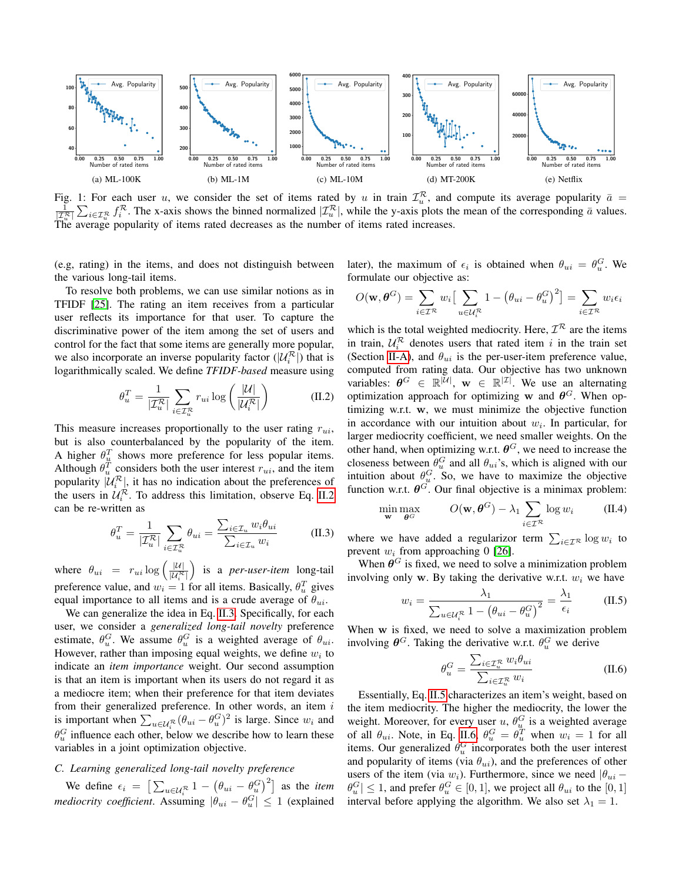<span id="page-2-1"></span>

Fig. 1: For each user u, we consider the set of items rated by u in train  $\mathcal{I}_u^R$ , and compute its average popularity  $\bar{a} =$  $\frac{1}{|\mathcal{I}_u^R|} \sum_{i \in \mathcal{I}_u^R} f_i^R$ . The x-axis shows the binned normalized  $|\mathcal{I}_u^R|$ , while the y-axis plots the mean of the corresponding  $\bar{a}$  values. The average popularity of items rated decreases as the number of items rated increases.

(e.g, rating) in the items, and does not distinguish between the various long-tail items.

To resolve both problems, we can use similar notions as in TFIDF [\[25\]](#page-12-24). The rating an item receives from a particular user reflects its importance for that user. To capture the discriminative power of the item among the set of users and control for the fact that some items are generally more popular, we also incorporate an inverse popularity factor  $(|\mathcal{U}_i^{\mathcal{R}}|)$  that is logarithmically scaled. We define *TFIDF-based* measure using

$$
\theta_u^T = \frac{1}{|\mathcal{I}_u^R|} \sum_{i \in \mathcal{I}_u^R} r_{ui} \log \left( \frac{|\mathcal{U}|}{|\mathcal{U}_i^R|} \right) \tag{II.2}
$$

This measure increases proportionally to the user rating  $r_{ui}$ , but is also counterbalanced by the popularity of the item. A higher  $\theta_u^T$  shows more preference for less popular items. Although  $\theta_u^T$  considers both the user interest  $r_{ui}$ , and the item popularity  $|\mathcal{U}_i^{\mathcal{R}}|$ , it has no indication about the preferences of the users in  $\mathcal{U}_i^{\mathcal{R}}$ . To address this limitation, observe Eq. [II.2](#page-2-2) can be re-written as

$$
\theta_u^T = \frac{1}{|\mathcal{I}_u^{\mathcal{R}}|} \sum_{i \in \mathcal{I}_u^{\mathcal{R}}} \theta_{ui} = \frac{\sum_{i \in \mathcal{I}_u} w_i \theta_{ui}}{\sum_{i \in \mathcal{I}_u} w_i}
$$
(II.3)

where  $\theta_{ui} = r_{ui} \log \left( \frac{|\mathcal{U}|}{|\mathcal{U}_i^{\mathcal{R}}|} \right)$  is a *per-user-item* long-tail preference value, and  $w_i = 1$  for all items. Basically,  $\theta_u^T$  gives equal importance to all items and is a crude average of  $\theta_{ui}$ .

We can generalize the idea in Eq. [II.3.](#page-2-3) Specifically, for each user, we consider a *generalized long-tail novelty* preference estimate,  $\theta_u^G$ . We assume  $\theta_u^G$  is a weighted average of  $\theta_{ui}$ . However, rather than imposing equal weights, we define  $w_i$  to indicate an *item importance* weight. Our second assumption is that an item is important when its users do not regard it as a mediocre item; when their preference for that item deviates from their generalized preference. In other words, an item  $i$ is important when  $\sum_{u \in \mathcal{U}_i^R} (\theta_{ui} - \theta_u^G)^2$  is large. Since  $w_i$  and  $\theta_u^G$  influence each other, below we describe how to learn these variables in a joint optimization objective.

# <span id="page-2-0"></span>*C. Learning generalized long-tail novelty preference*

We define  $\epsilon_i = \left[\sum_{u \in \mathcal{U}_i^{\mathcal{R}}} 1 - \left(\theta_{ui} - \theta_u^G\right)^2\right]$  as the *item mediocrity coefficient*. Assuming  $|\theta_{ui} - \theta_u^G| \le 1$  (explained later), the maximum of  $\epsilon_i$  is obtained when  $\theta_{ui} = \theta_u^G$ . We formulate our objective as:

$$
O(\mathbf{w}, \boldsymbol{\theta}^G) = \sum_{i \in \mathcal{I}^{\mathcal{R}}} w_i \left[ \sum_{u \in \mathcal{U}_i^{\mathcal{R}}} 1 - \left( \theta_{ui} - \theta_u^G \right)^2 \right] = \sum_{i \in \mathcal{I}^{\mathcal{R}}} w_i \epsilon_i
$$

<span id="page-2-2"></span>which is the total weighted mediocrity. Here,  $\mathcal{I}^{\mathcal{R}}$  are the items in train,  $\mathcal{U}_i^{\mathcal{R}}$  denotes users that rated item i in the train set (Section [II-A\)](#page-1-0), and  $\theta_{ui}$  is the per-user-item preference value, computed from rating data. Our objective has two unknown variables:  $\theta^G \in \mathbb{R}^{|\mathcal{U}|}$ ,  $\mathbf{w} \in \mathbb{R}^{|\mathcal{I}|}$ . We use an alternating optimization approach for optimizing w and  $\theta$ <sup>G</sup>. When optimizing w.r.t. w, we must minimize the objective function in accordance with our intuition about  $w_i$ . In particular, for larger mediocrity coefficient, we need smaller weights. On the other hand, when optimizing w.r.t.  $\boldsymbol{\theta}^G$ , we need to increase the closeness between  $\theta_u^G$  and all  $\theta_{ui}$ 's, which is aligned with our intuition about  $\theta_u^G$ . So, we have to maximize the objective function w.r.t.  $\theta^G$ . Our final objective is a minimax problem:

$$
\min_{\mathbf{w}} \max_{\boldsymbol{\theta}^G} \qquad O(\mathbf{w}, \boldsymbol{\theta}^G) - \lambda_1 \sum_{i \in \mathcal{I}^{\mathcal{R}}} \log w_i \qquad (\text{II.4})
$$

<span id="page-2-3"></span>where we have added a regularizor term  $\sum_{i \in \mathcal{I}^{\mathcal{R}}} \log w_i$  to prevent  $w_i$  from approaching 0 [\[26\]](#page-12-25).

When  $\theta$ <sup>G</sup> is fixed, we need to solve a minimization problem involving only w. By taking the derivative w.r.t.  $w_i$  we have

$$
w_i = \frac{\lambda_1}{\sum_{u \in \mathcal{U}_i^{\mathcal{R}}} 1 - (\theta_{ui} - \theta_u^G)^2} = \frac{\lambda_1}{\epsilon_i}
$$
 (II.5)

When w is fixed, we need to solve a maximization problem involving  $\boldsymbol{\theta}^G$ . Taking the derivative w.r.t.  $\theta_u^G$  we derive

<span id="page-2-5"></span><span id="page-2-4"></span>
$$
\theta_u^G = \frac{\sum_{i \in \mathcal{I}_u^R} w_i \theta_{ui}}{\sum_{i \in \mathcal{I}_u^R} w_i}
$$
(II.6)

Essentially, Eq. [II.5](#page-2-4) characterizes an item's weight, based on the item mediocrity. The higher the mediocrity, the lower the weight. Moreover, for every user u,  $\theta_u^G$  is a weighted average of all  $\theta_{ui}$ . Note, in Eq. [II.6,](#page-2-5)  $\theta_u^G = \theta_u^T$  when  $w_i = 1$  for all items. Our generalized  $\theta_u^G$  incorporates both the user interest and popularity of items (via  $\theta_{ui}$ ), and the preferences of other users of the item (via  $w_i$ ). Furthermore, since we need  $|\theta_{ui} - \theta_{ui}|$  $|\theta_u^G| \le 1$ , and prefer  $\theta_u^G \in [0, 1]$ , we project all  $\theta_{ui}$  to the  $[0, 1]$ interval before applying the algorithm. We also set  $\lambda_1 = 1$ .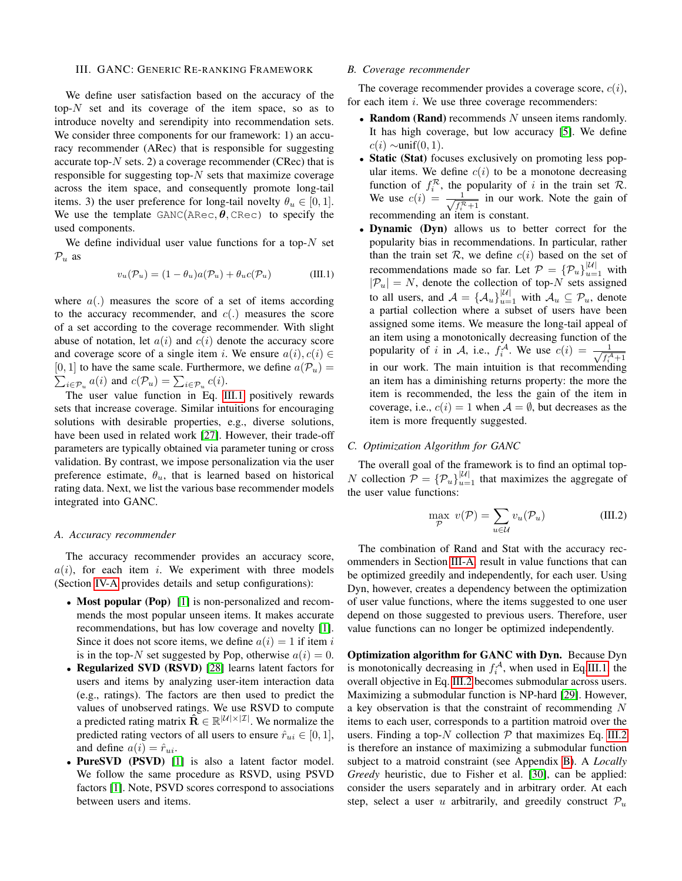### <span id="page-3-0"></span>III. GANC: GENERIC RE-RANKING FRAMEWORK

We define user satisfaction based on the accuracy of the top- $N$  set and its coverage of the item space, so as to introduce novelty and serendipity into recommendation sets. We consider three components for our framework: 1) an accuracy recommender (ARec) that is responsible for suggesting accurate top- $N$  sets. 2) a coverage recommender (CRec) that is responsible for suggesting top- $N$  sets that maximize coverage across the item space, and consequently promote long-tail items. 3) the user preference for long-tail novelty  $\theta_u \in [0, 1]$ . We use the template  $GANC(ARec, \theta, CRec)$  to specify the used components.

We define individual user value functions for a top- $N$  set  $\mathcal{P}_u$  as

<span id="page-3-2"></span>
$$
v_u(\mathcal{P}_u) = (1 - \theta_u)a(\mathcal{P}_u) + \theta_u c(\mathcal{P}_u)
$$
 (III.1)

where  $a(.)$  measures the score of a set of items according to the accuracy recommender, and  $c(.)$  measures the score of a set according to the coverage recommender. With slight abuse of notation, let  $a(i)$  and  $c(i)$  denote the accuracy score and coverage score of a single item i. We ensure  $a(i), c(i) \in$ [0, 1] to have the same scale. Furthermore, we define  $a(\mathcal{P}_u) = \sum_{i \in \mathcal{P}} a(i)$  and  $c(\mathcal{P}_u) = \sum_{i \in \mathcal{P}} c(i)$ .  $i \in \mathcal{P}_u$   $a(i)$  and  $c(\mathcal{P}_u) = \sum_{i \in \mathcal{P}_u} c(i)$ .

The user value function in Eq. [III.1](#page-3-2) positively rewards sets that increase coverage. Similar intuitions for encouraging solutions with desirable properties, e.g., diverse solutions, have been used in related work [\[27\]](#page-12-26). However, their trade-off parameters are typically obtained via parameter tuning or cross validation. By contrast, we impose personalization via the user preference estimate,  $\theta_u$ , that is learned based on historical rating data. Next, we list the various base recommender models integrated into GANC.

### <span id="page-3-3"></span>*A. Accuracy recommender*

The accuracy recommender provides an accuracy score,  $a(i)$ , for each item i. We experiment with three models (Section [IV-A](#page-4-1) provides details and setup configurations):

- Most popular (Pop) [\[1\]](#page-12-0) is non-personalized and recommends the most popular unseen items. It makes accurate recommendations, but has low coverage and novelty [\[1\]](#page-12-0). Since it does not score items, we define  $a(i) = 1$  if item i is in the top-N set suggested by Pop, otherwise  $a(i) = 0$ .
- Regularized SVD (RSVD) [\[28\]](#page-12-27) learns latent factors for users and items by analyzing user-item interaction data (e.g., ratings). The factors are then used to predict the values of unobserved ratings. We use RSVD to compute a predicted rating matrix  $\hat{\mathbf{R}} \in \mathbb{R}^{|\mathcal{U}| \times |\mathcal{I}|}$ . We normalize the predicted rating vectors of all users to ensure  $\hat{r}_{ui} \in [0, 1]$ , and define  $a(i) = \hat{r}_{ui}$ .
- PureSVD (PSVD) [\[1\]](#page-12-0) is also a latent factor model. We follow the same procedure as RSVD, using PSVD factors [\[1\]](#page-12-0). Note, PSVD scores correspond to associations between users and items.

## *B. Coverage recommender*

The coverage recommender provides a coverage score,  $c(i)$ , for each item  $i$ . We use three coverage recommenders:

- Random (Rand) recommends  $N$  unseen items randomly. It has high coverage, but low accuracy [\[5\]](#page-12-4). We define  $c(i) \sim \text{unif}(0, 1)$ .
- Static (Stat) focuses exclusively on promoting less popular items. We define  $c(i)$  to be a monotone decreasing function of  $f_i^{\mathcal{R}}$ , the popularity of i in the train set  $\mathcal{R}$ . We use  $c(i) = \frac{1}{\sqrt{c^i}}$  $\frac{1}{f_i^R + 1}$  in our work. Note the gain of recommending an item is constant.
- Dynamic (Dyn) allows us to better correct for the popularity bias in recommendations. In particular, rather than the train set  $R$ , we define  $c(i)$  based on the set of recommendations made so far. Let  $P = \{P_u\}_{u=1}^{|U|}$  with  $|\mathcal{P}_u| = N$ , denote the collection of top-N sets assigned to all users, and  $A = \{\mathcal{A}_u\}_{u=1}^{|\mathcal{U}|}$  with  $\mathcal{A}_u \subseteq \mathcal{P}_u$ , denote a partial collection where a subset of users have been assigned some items. We measure the long-tail appeal of an item using a monotonically decreasing function of the popularity of i in A, i.e.,  $f_i^{\mathcal{A}}$ . We use  $c(i) = \frac{1}{\sqrt{t_i^2}}$  $f_i^{\mathcal{A}}+1$ in our work. The main intuition is that recommending an item has a diminishing returns property: the more the item is recommended, the less the gain of the item in coverage, i.e.,  $c(i) = 1$  when  $\mathcal{A} = \emptyset$ , but decreases as the item is more frequently suggested.

## <span id="page-3-1"></span>*C. Optimization Algorithm for GANC*

The overall goal of the framework is to find an optimal top-N collection  $\mathcal{P} = {\mathcal{P}_u}_{u=1}^{|\mathcal{U}|}$  that maximizes the aggregate of the user value functions:

<span id="page-3-4"></span>
$$
\max_{\mathcal{P}} \ v(\mathcal{P}) = \sum_{u \in \mathcal{U}} v_u(\mathcal{P}_u) \tag{III.2}
$$

The combination of Rand and Stat with the accuracy recommenders in Section [III-A,](#page-3-3) result in value functions that can be optimized greedily and independently, for each user. Using Dyn, however, creates a dependency between the optimization of user value functions, where the items suggested to one user depend on those suggested to previous users. Therefore, user value functions can no longer be optimized independently.

Optimization algorithm for GANC with Dyn. Because Dyn is monotonically decreasing in  $f_i^{\mathcal{A}}$ , when used in Eq[.III.1,](#page-3-2) the overall objective in Eq. [III.2](#page-3-4) becomes submodular across users. Maximizing a submodular function is NP-hard [\[29\]](#page-12-28). However, a key observation is that the constraint of recommending N items to each user, corresponds to a partition matroid over the users. Finding a top- $N$  collection  $P$  that maximizes Eq. [III.2](#page-3-4) is therefore an instance of maximizing a submodular function subject to a matroid constraint (see Appendix [B\)](#page-13-0). A *Locally Greedy* heuristic, due to Fisher et al. [\[30\]](#page-12-29), can be applied: consider the users separately and in arbitrary order. At each step, select a user u arbitrarily, and greedily construct  $\mathcal{P}_u$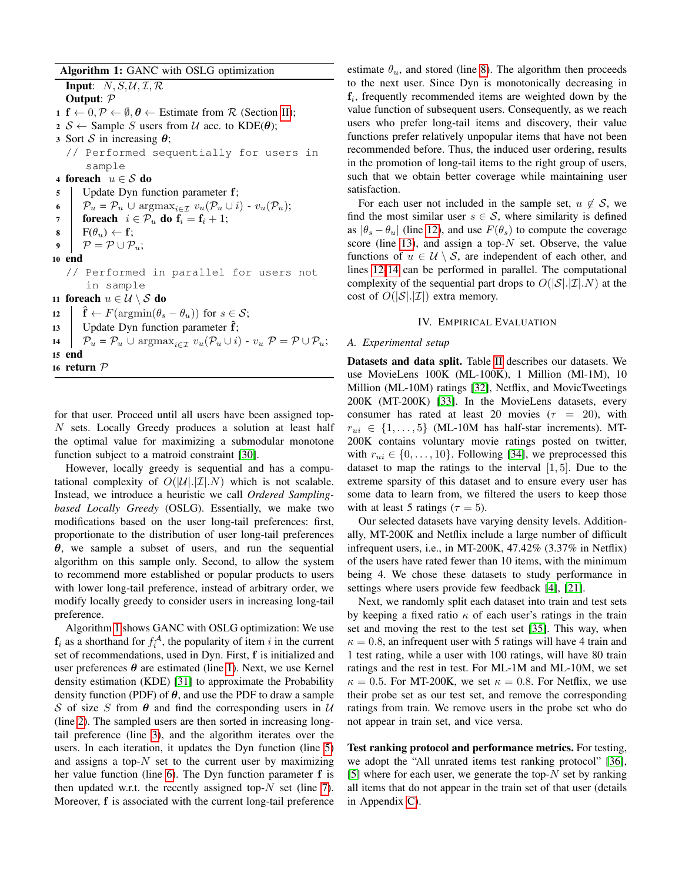Algorithm 1: GANC with OSLG optimization

<span id="page-4-9"></span><span id="page-4-8"></span><span id="page-4-7"></span><span id="page-4-6"></span><span id="page-4-5"></span><span id="page-4-4"></span><span id="page-4-3"></span>**Input:**  $N, S, U, \mathcal{I}, \mathcal{R}$ Output: P 1 f  $\leftarrow 0, \mathcal{P} \leftarrow \emptyset, \theta \leftarrow$  Estimate from R (Section [II\)](#page-1-1);  $2 \mathcal{S} \leftarrow$  Sample S users from U acc. to KDE( $\theta$ ); 3 Sort S in increasing  $\theta$ ; // Performed sequentially for users in sample 4 foreach  $u \in \mathcal{S}$  do <sup>5</sup> Update Dyn function parameter f; 6  $\big| \mathcal{P}_u = \mathcal{P}_u \cup \text{argmax}_{i \in \mathcal{I}} v_u(\mathcal{P}_u \cup i) - v_u(\mathcal{P}_u);$ 7 **foreach**  $i \in \mathcal{P}_u$  do  $\mathbf{f}_i = \mathbf{f}_i + 1$ ;  $\mathbf{s}$  |  $\mathbf{F}(\theta_u) \leftarrow \mathbf{f}$ ; 9  $\vert \mathcal{P} = \mathcal{P} \cup \mathcal{P}_u;$ 10 end // Performed in parallel for users not in sample 11 foreach  $u \in \mathcal{U} \setminus \mathcal{S}$  do 12  $\hat{\mathbf{f}} \leftarrow F(\operatorname{argmin}(\theta_s - \theta_u))$  for  $s \in \mathcal{S}$ ; 13 | Update Dyn function parameter  $\hat{f}$ ; 14  $\big| \mathcal{P}_u = \mathcal{P}_u \cup \text{argmax}_{i \in \mathcal{I}} v_u(\mathcal{P}_u \cup i) - v_u \mathcal{P} = \mathcal{P} \cup \mathcal{P}_u;$ 15 end <sup>16</sup> return P

<span id="page-4-12"></span><span id="page-4-11"></span><span id="page-4-10"></span><span id="page-4-2"></span>for that user. Proceed until all users have been assigned top-N sets. Locally Greedy produces a solution at least half the optimal value for maximizing a submodular monotone function subject to a matroid constraint [\[30\]](#page-12-29).

However, locally greedy is sequential and has a computational complexity of  $O(|\mathcal{U}|, |\mathcal{I}|, N)$  which is not scalable. Instead, we introduce a heuristic we call *Ordered Samplingbased Locally Greedy* (OSLG). Essentially, we make two modifications based on the user long-tail preferences: first, proportionate to the distribution of user long-tail preferences  $\theta$ , we sample a subset of users, and run the sequential algorithm on this sample only. Second, to allow the system to recommend more established or popular products to users with lower long-tail preference, instead of arbitrary order, we modify locally greedy to consider users in increasing long-tail preference.

Algorithm [1](#page-4-2) shows GANC with OSLG optimization: We use  $\mathbf{f}_i$  as a shorthand for  $f_i^{\mathcal{A}}$ , the popularity of item i in the current set of recommendations, used in Dyn. First, f is initialized and user preferences  $\theta$  are estimated (line [1\)](#page-4-3). Next, we use Kernel density estimation (KDE) [\[31\]](#page-12-30) to approximate the Probability density function (PDF) of  $\theta$ , and use the PDF to draw a sample S of size S from  $\theta$  and find the corresponding users in U (line [2\)](#page-4-4). The sampled users are then sorted in increasing longtail preference (line [3\)](#page-4-5), and the algorithm iterates over the users. In each iteration, it updates the Dyn function (line [5\)](#page-4-6) and assigns a top- $N$  set to the current user by maximizing her value function (line [6\)](#page-4-7). The Dyn function parameter f is then updated w.r.t. the recently assigned top- $N$  set (line [7\)](#page-4-8). Moreover, f is associated with the current long-tail preference estimate  $\theta_u$ , and stored (line [8\)](#page-4-9). The algorithm then proceeds to the next user. Since Dyn is monotonically decreasing in  $f_i$ , frequently recommended items are weighted down by the value function of subsequent users. Consequently, as we reach users who prefer long-tail items and discovery, their value functions prefer relatively unpopular items that have not been recommended before. Thus, the induced user ordering, results in the promotion of long-tail items to the right group of users, such that we obtain better coverage while maintaining user satisfaction.

For each user not included in the sample set,  $u \notin S$ , we find the most similar user  $s \in S$ , where similarity is defined as  $|\theta_s - \theta_u|$  (line [12\)](#page-4-10), and use  $F(\theta_s)$  to compute the coverage score (line [13\)](#page-4-11), and assign a top- $N$  set. Observe, the value functions of  $u \in \mathcal{U} \setminus \mathcal{S}$ , are independent of each other, and lines [12-](#page-4-10)[14](#page-4-12) can be performed in parallel. The computational complexity of the sequential part drops to  $O(|\mathcal{S}| |\mathcal{I}| N)$  at the cost of  $O(|\mathcal{S}| |\mathcal{I}|)$  extra memory.

#### IV. EMPIRICAL EVALUATION

### <span id="page-4-1"></span><span id="page-4-0"></span>*A. Experimental setup*

Datasets and data split. Table [II](#page-5-0) describes our datasets. We use MovieLens 100K (ML-100K), 1 Million (Ml-1M), 10 Million (ML-10M) ratings [\[32\]](#page-12-31), Netflix, and MovieTweetings 200K (MT-200K) [\[33\]](#page-12-32). In the MovieLens datasets, every consumer has rated at least 20 movies ( $\tau = 20$ ), with  $r_{ui} \in \{1, \ldots, 5\}$  (ML-10M has half-star increments). MT-200K contains voluntary movie ratings posted on twitter, with  $r_{ui} \in \{0, \ldots, 10\}$ . Following [\[34\]](#page-12-33), we preprocessed this dataset to map the ratings to the interval  $[1, 5]$ . Due to the extreme sparsity of this dataset and to ensure every user has some data to learn from, we filtered the users to keep those with at least 5 ratings ( $\tau = 5$ ).

Our selected datasets have varying density levels. Additionally, MT-200K and Netflix include a large number of difficult infrequent users, i.e., in MT-200K, 47.42% (3.37% in Netflix) of the users have rated fewer than 10 items, with the minimum being 4. We chose these datasets to study performance in settings where users provide few feedback [\[4\]](#page-12-3), [\[21\]](#page-12-20).

Next, we randomly split each dataset into train and test sets by keeping a fixed ratio  $\kappa$  of each user's ratings in the train set and moving the rest to the test set [\[35\]](#page-12-34). This way, when  $\kappa = 0.8$ , an infrequent user with 5 ratings will have 4 train and 1 test rating, while a user with 100 ratings, will have 80 train ratings and the rest in test. For ML-1M and ML-10M, we set  $\kappa = 0.5$ . For MT-200K, we set  $\kappa = 0.8$ . For Netflix, we use their probe set as our test set, and remove the corresponding ratings from train. We remove users in the probe set who do not appear in train set, and vice versa.

Test ranking protocol and performance metrics. For testing, we adopt the "All unrated items test ranking protocol" [\[36\]](#page-12-35), [\[5\]](#page-12-4) where for each user, we generate the top- $N$  set by ranking all items that do not appear in the train set of that user (details in Appendix [C\)](#page-14-0).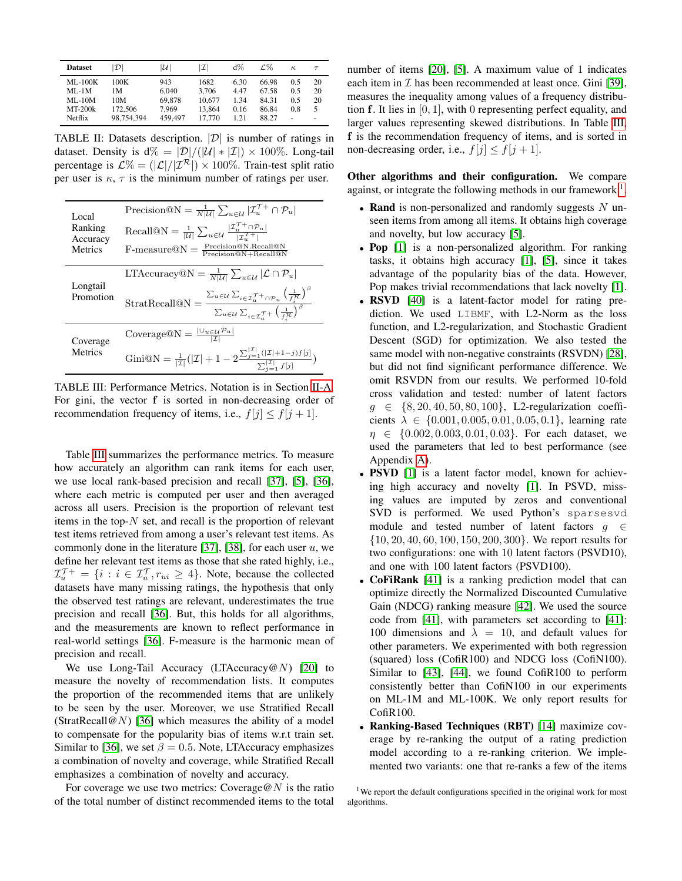<span id="page-5-0"></span>

| <b>Dataset</b> | $ \mathcal{D} $ | $ {\cal U} $ | $ \mathcal{I} $ | $d\%$ | L.Zo  | к.     | $\tau$ |
|----------------|-----------------|--------------|-----------------|-------|-------|--------|--------|
| $ML-100K$      | 100K            | 943          | 1682            | 6.30  | 66.98 | 0.5    | 20     |
| $ML-1M$        | 1 M             | 6.040        | 3.706           | 4.47  | 67.58 | 0.5    | 20     |
| $ML-10M$       | 10M             | 69.878       | 10.677          | 1.34  | 84.31 | 0.5    | 20     |
| $MT-200k$      | 172,506         | 7.969        | 13.864          | 0.16  | 86.84 | 0.8    | 5.     |
| Netflix        | 98.754.394      | 459,497      | 17,770          | 1.21  | 88.27 | $\sim$ | ۰      |

TABLE II: Datasets description.  $|\mathcal{D}|$  is number of ratings in dataset. Density is  $d\% = |\mathcal{D}|/(|\mathcal{U}| * |\mathcal{I}|) \times 100\%$ . Long-tail percentage is  $\mathcal{L}\% = (|\mathcal{L}|/|\mathcal{I}^{\mathcal{R}}|) \times 100\%$ . Train-test split ratio per user is  $\kappa$ ,  $\tau$  is the minimum number of ratings per user.

<span id="page-5-1"></span>

| Local<br>Ranking<br>Accuracy<br>Metrics | Precision $\mathbb{Q}N = \frac{1}{N \mathcal{U} } \sum_{u \in \mathcal{U}}  \mathcal{I}_u^{\mathcal{T}+} \cap \mathcal{P}_u $<br>Recall@N = $\frac{1}{ \mathcal{U} } \sum_{u \in \mathcal{U}} \frac{ \mathcal{I}_u^{\mathcal{T}+} \cap \mathcal{P}_u }{ \mathcal{T}^{\mathcal{T}+} }$<br>$F$ -measure $@N = \frac{Precision@N\cdot Recall@N}{Precision@N+Recall@N}$ |
|-----------------------------------------|---------------------------------------------------------------------------------------------------------------------------------------------------------------------------------------------------------------------------------------------------------------------------------------------------------------------------------------------------------------------|
| Longtail                                | LTAccuracy $\mathbb{Q}N = \frac{1}{N \mathcal{U} } \sum_{u \in \mathcal{U}}  \mathcal{L} \cap \mathcal{P}_u $                                                                                                                                                                                                                                                       |
| Promotion                               | StratRecall@N = $\frac{\sum_{u \in \mathcal{U}} \sum_{i \in \mathcal{I}_u^{\mathcal{T} + } \cap \mathcal{P}_u} \left(\frac{1}{f_i^{\mathcal{R}}}\right)^{\beta}}{\sum_{u \in \mathcal{U}} \sum_{i \in \mathcal{I}_u^{\mathcal{T} + } \left(\frac{1}{f_i^{\mathcal{R}}}\right)^{\beta}}$                                                                             |
| Coverage                                | Coverage $\mathbb{Q}N = \frac{ \cup_{u \in \mathcal{U}} \mathcal{P}_u }{ \mathcal{T} }$                                                                                                                                                                                                                                                                             |
| Metrics                                 | Gini@N = $\frac{1}{ \mathcal{I} }( \mathcal{I}  + 1 - 2\frac{\sum_{j=1}^{ \mathcal{I} }( \mathcal{I}  + 1 - j)f[j]}{\sum_{j=1}^{ \mathcal{I} }f[j]}$                                                                                                                                                                                                                |

TABLE III: Performance Metrics. Notation is in Section [II-A.](#page-1-0) For gini, the vector f is sorted in non-decreasing order of recommendation frequency of items, i.e.,  $f[j] \leq f[j+1]$ .

Table [III](#page-5-1) summarizes the performance metrics. To measure how accurately an algorithm can rank items for each user, we use local rank-based precision and recall [\[37\]](#page-12-36), [\[5\]](#page-12-4), [\[36\]](#page-12-35), where each metric is computed per user and then averaged across all users. Precision is the proportion of relevant test items in the top- $N$  set, and recall is the proportion of relevant test items retrieved from among a user's relevant test items. As commonly done in the literature [\[37\]](#page-12-36), [\[38\]](#page-12-37), for each user  $u$ , we define her relevant test items as those that she rated highly, i.e.,  $\mathcal{I}_{u}^{\mathcal{T}\mathcal{+}} = \{i : i \in \mathcal{I}_{u}^{\mathcal{T}}, r_{ui} \geq 4\}$ . Note, because the collected datasets have many missing ratings, the hypothesis that only the observed test ratings are relevant, underestimates the true precision and recall [\[36\]](#page-12-35). But, this holds for all algorithms, and the measurements are known to reflect performance in real-world settings [\[36\]](#page-12-35). F-measure is the harmonic mean of precision and recall.

We use Long-Tail Accuracy (LTAccuracy  $\mathcal{Q}(N)$  [\[20\]](#page-12-19) to measure the novelty of recommendation lists. It computes the proportion of the recommended items that are unlikely to be seen by the user. Moreover, we use Stratified Recall (StratRecall@N) [\[36\]](#page-12-35) which measures the ability of a model to compensate for the popularity bias of items w.r.t train set. Similar to [\[36\]](#page-12-35), we set  $\beta = 0.5$ . Note, LTAccuracy emphasizes a combination of novelty and coverage, while Stratified Recall emphasizes a combination of novelty and accuracy.

For coverage we use two metrics: Coverage  $@N$  is the ratio of the total number of distinct recommended items to the total number of items [\[20\]](#page-12-19), [\[5\]](#page-12-4). A maximum value of 1 indicates each item in  $\mathcal I$  has been recommended at least once. Gini [\[39\]](#page-12-38), measures the inequality among values of a frequency distribution f. It lies in [0, 1], with 0 representing perfect equality, and larger values representing skewed distributions. In Table [III,](#page-5-1) f is the recommendation frequency of items, and is sorted in non-decreasing order, i.e.,  $f[j] \leq f[j+1]$ .

Other algorithms and their configuration. We compare against, or integrate the following methods in our framework  $<sup>1</sup>$  $<sup>1</sup>$  $<sup>1</sup>$ .</sup>

- Rand is non-personalized and randomly suggests  $N$  unseen items from among all items. It obtains high coverage and novelty, but low accuracy [\[5\]](#page-12-4).
- Pop [\[1\]](#page-12-0) is a non-personalized algorithm. For ranking tasks, it obtains high accuracy [\[1\]](#page-12-0), [\[5\]](#page-12-4), since it takes advantage of the popularity bias of the data. However, Pop makes trivial recommendations that lack novelty [\[1\]](#page-12-0).
- RSVD [\[40\]](#page-12-39) is a latent-factor model for rating prediction. We used LIBMF, with L2-Norm as the loss function, and L2-regularization, and Stochastic Gradient Descent (SGD) for optimization. We also tested the same model with non-negative constraints (RSVDN) [\[28\]](#page-12-27), but did not find significant performance difference. We omit RSVDN from our results. We performed 10-fold cross validation and tested: number of latent factors  $g \in \{8, 20, 40, 50, 80, 100\}$ , L2-regularization coefficients  $\lambda \in \{0.001, 0.005, 0.01, 0.05, 0.1\}$ , learning rate  $\eta \in \{0.002, 0.003, 0.01, 0.03\}$ . For each dataset, we used the parameters that led to best performance (see Appendix [A\)](#page-13-1).
- PSVD [\[1\]](#page-12-0) is a latent factor model, known for achieving high accuracy and novelty [\[1\]](#page-12-0). In PSVD, missing values are imputed by zeros and conventional SVD is performed. We used Python's sparsesvd module and tested number of latent factors  $g \in$ {10, 20, 40, 60, 100, 150, 200, 300}. We report results for two configurations: one with 10 latent factors (PSVD10), and one with 100 latent factors (PSVD100).
- CoFiRank [\[41\]](#page-12-40) is a ranking prediction model that can optimize directly the Normalized Discounted Cumulative Gain (NDCG) ranking measure [\[42\]](#page-12-41). We used the source code from [\[41\]](#page-12-40), with parameters set according to [\[41\]](#page-12-40): 100 dimensions and  $\lambda = 10$ , and default values for other parameters. We experimented with both regression (squared) loss (CofiR100) and NDCG loss (CofiN100). Similar to [\[43\]](#page-12-42), [\[44\]](#page-12-43), we found CofiR100 to perform consistently better than CofiN100 in our experiments on ML-1M and ML-100K. We only report results for CofiR100.
- Ranking-Based Techniques (RBT) [\[14\]](#page-12-13) maximize coverage by re-ranking the output of a rating prediction model according to a re-ranking criterion. We implemented two variants: one that re-ranks a few of the items

<span id="page-5-2"></span><sup>&</sup>lt;sup>1</sup>We report the default configurations specified in the original work for most algorithms.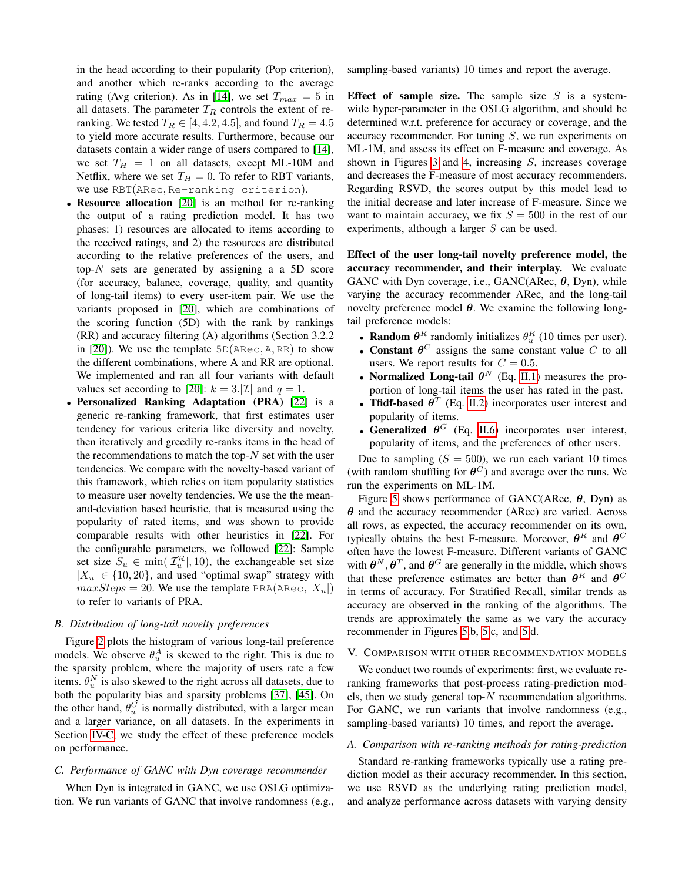in the head according to their popularity (Pop criterion), and another which re-ranks according to the average rating (Avg criterion). As in [\[14\]](#page-12-13), we set  $T_{max} = 5$  in all datasets. The parameter  $T_R$  controls the extent of reranking. We tested  $T_R \in [4, 4.2, 4.5]$ , and found  $T_R = 4.5$ to yield more accurate results. Furthermore, because our datasets contain a wider range of users compared to [\[14\]](#page-12-13), we set  $T_H = 1$  on all datasets, except ML-10M and Netflix, where we set  $T_H = 0$ . To refer to RBT variants, we use RBT(ARec, Re-ranking criterion).

- Resource allocation [\[20\]](#page-12-19) is an method for re-ranking the output of a rating prediction model. It has two phases: 1) resources are allocated to items according to the received ratings, and 2) the resources are distributed according to the relative preferences of the users, and top- $N$  sets are generated by assigning a a 5D score (for accuracy, balance, coverage, quality, and quantity of long-tail items) to every user-item pair. We use the variants proposed in [\[20\]](#page-12-19), which are combinations of the scoring function (5D) with the rank by rankings (RR) and accuracy filtering (A) algorithms (Section 3.2.2 in [\[20\]](#page-12-19)). We use the template  $5D(ARec, A, RR)$  to show the different combinations, where A and RR are optional. We implemented and ran all four variants with default values set according to [\[20\]](#page-12-19):  $k = 3$ . [*Z*] and  $q = 1$ .
- Personalized Ranking Adaptation (PRA) [\[22\]](#page-12-21) is a generic re-ranking framework, that first estimates user tendency for various criteria like diversity and novelty, then iteratively and greedily re-ranks items in the head of the recommendations to match the top- $N$  set with the user tendencies. We compare with the novelty-based variant of this framework, which relies on item popularity statistics to measure user novelty tendencies. We use the the meanand-deviation based heuristic, that is measured using the popularity of rated items, and was shown to provide comparable results with other heuristics in [\[22\]](#page-12-21). For the configurable parameters, we followed [\[22\]](#page-12-21): Sample set size  $S_u \in \min(|\mathcal{I}_u^{\mathcal{R}}|, 10)$ , the exchangeable set size  $|X_u| \in \{10, 20\}$ , and used "optimal swap" strategy with  $maxSteps = 20$ . We use the template PRA(ARec,  $|X_u|$ ) to refer to variants of PRA.

## *B. Distribution of long-tail novelty preferences*

Figure [2](#page-7-0) plots the histogram of various long-tail preference models. We observe  $\theta_u^A$  is skewed to the right. This is due to the sparsity problem, where the majority of users rate a few items.  $\theta_u^N$  is also skewed to the right across all datasets, due to both the popularity bias and sparsity problems [\[37\]](#page-12-36), [\[45\]](#page-12-44). On the other hand,  $\theta_u^G$  is normally distributed, with a larger mean and a larger variance, on all datasets. In the experiments in Section [IV-C,](#page-6-0) we study the effect of these preference models on performance.

## <span id="page-6-0"></span>*C. Performance of GANC with Dyn coverage recommender*

When Dyn is integrated in GANC, we use OSLG optimization. We run variants of GANC that involve randomness (e.g., sampling-based variants) 10 times and report the average.

Effect of sample size. The sample size  $S$  is a systemwide hyper-parameter in the OSLG algorithm, and should be determined w.r.t. preference for accuracy or coverage, and the accuracy recommender. For tuning  $S$ , we run experiments on ML-1M, and assess its effect on F-measure and coverage. As shown in Figures [3](#page-7-1) and [4,](#page-7-2) increasing  $S$ , increases coverage and decreases the F-measure of most accuracy recommenders. Regarding RSVD, the scores output by this model lead to the initial decrease and later increase of F-measure. Since we want to maintain accuracy, we fix  $S = 500$  in the rest of our experiments, although a larger S can be used.

Effect of the user long-tail novelty preference model, the accuracy recommender, and their interplay. We evaluate GANC with Dyn coverage, i.e.,  $GANC(ARec, \theta, Dyn)$ , while varying the accuracy recommender ARec, and the long-tail novelty preference model  $\theta$ . We examine the following longtail preference models:

- Random  $\theta^R$  randomly initializes  $\theta_n^R$  (10 times per user).
- **Random** *e* Tandomly initializes  $v_u$  (10 times per user).<br>• **Constant**  $\theta^C$  assigns the same constant value C to all users. We report results for  $C = 0.5$ .
- Normalized Long-tail  $\theta^N$  (Eq. [II.1\)](#page-1-4) measures the proportion of long-tail items the user has rated in the past.
- Tfidf-based  $\theta^T$  (Eq. [II.2\)](#page-2-2) incorporates user interest and popularity of items.
- Generalized  $\theta^G$  (Eq. [II.6\)](#page-2-5) incorporates user interest, popularity of items, and the preferences of other users.

Due to sampling  $(S = 500)$ , we run each variant 10 times (with random shuffling for  $\theta^C$ ) and average over the runs. We run the experiments on ML-1M.

Figure [5](#page-8-0) shows performance of GANC(ARec,  $\theta$ , Dyn) as  $\theta$  and the accuracy recommender (ARec) are varied. Across all rows, as expected, the accuracy recommender on its own, typically obtains the best F-measure. Moreover,  $\boldsymbol{\theta}^R$  and  $\boldsymbol{\theta}^C$ often have the lowest F-measure. Different variants of GANC with  $\theta^N$ ,  $\theta^T$ , and  $\theta^G$  are generally in the middle, which shows that these preference estimates are better than  $\theta^R$  and  $\theta^C$ in terms of accuracy. For Stratified Recall, similar trends as accuracy are observed in the ranking of the algorithms. The trends are approximately the same as we vary the accuracy recommender in Figures [5.](#page-8-0)b, [5.](#page-8-0)c, and [5.](#page-8-0)d.

## V. COMPARISON WITH OTHER RECOMMENDATION MODELS

We conduct two rounds of experiments: first, we evaluate reranking frameworks that post-process rating-prediction models, then we study general top- $N$  recommendation algorithms. For GANC, we run variants that involve randomness (e.g., sampling-based variants) 10 times, and report the average.

## *A. Comparison with re-ranking methods for rating-prediction*

Standard re-ranking frameworks typically use a rating prediction model as their accuracy recommender. In this section, we use RSVD as the underlying rating prediction model, and analyze performance across datasets with varying density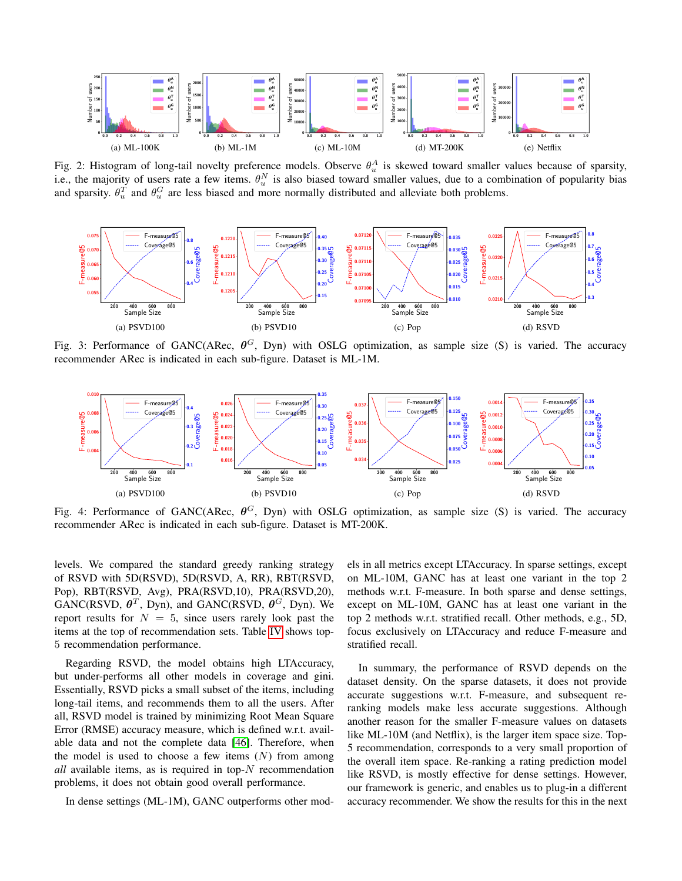<span id="page-7-0"></span>

Fig. 2: Histogram of long-tail novelty preference models. Observe  $\theta_u^A$  is skewed toward smaller values because of sparsity, i.e., the majority of users rate a few items.  $\theta_u^N$  is also biased toward smaller values, due to a combination of popularity bias and sparsity.  $\theta_u^T$  and  $\theta_u^G$  are less biased and more normally distributed and alleviate both problems.

<span id="page-7-1"></span>

Fig. 3: Performance of GANC(ARec,  $\theta^G$ , Dyn) with OSLG optimization, as sample size (S) is varied. The accuracy recommender ARec is indicated in each sub-figure. Dataset is ML-1M.

<span id="page-7-2"></span>

Fig. 4: Performance of GANC(ARec,  $\theta^G$ , Dyn) with OSLG optimization, as sample size (S) is varied. The accuracy recommender ARec is indicated in each sub-figure. Dataset is MT-200K.

levels. We compared the standard greedy ranking strategy of RSVD with 5D(RSVD), 5D(RSVD, A, RR), RBT(RSVD, Pop), RBT(RSVD, Avg), PRA(RSVD,10), PRA(RSVD,20),  $GANC(RSVD, \theta^T, Dyn)$ , and  $GANC(RSVD, \theta^G, Dyn)$ . We report results for  $N = 5$ , since users rarely look past the items at the top of recommendation sets. Table [IV](#page-9-0) shows top-5 recommendation performance.

Regarding RSVD, the model obtains high LTAccuracy, but under-performs all other models in coverage and gini. Essentially, RSVD picks a small subset of the items, including long-tail items, and recommends them to all the users. After all, RSVD model is trained by minimizing Root Mean Square Error (RMSE) accuracy measure, which is defined w.r.t. available data and not the complete data [\[46\]](#page-12-45). Therefore, when the model is used to choose a few items  $(N)$  from among *all* available items, as is required in top-N recommendation problems, it does not obtain good overall performance.

In dense settings (ML-1M), GANC outperforms other mod-

els in all metrics except LTAccuracy. In sparse settings, except on ML-10M, GANC has at least one variant in the top 2 methods w.r.t. F-measure. In both sparse and dense settings, except on ML-10M, GANC has at least one variant in the top 2 methods w.r.t. stratified recall. Other methods, e.g., 5D, focus exclusively on LTAccuracy and reduce F-measure and stratified recall.

In summary, the performance of RSVD depends on the dataset density. On the sparse datasets, it does not provide accurate suggestions w.r.t. F-measure, and subsequent reranking models make less accurate suggestions. Although another reason for the smaller F-measure values on datasets like ML-10M (and Netflix), is the larger item space size. Top-5 recommendation, corresponds to a very small proportion of the overall item space. Re-ranking a rating prediction model like RSVD, is mostly effective for dense settings. However, our framework is generic, and enables us to plug-in a different accuracy recommender. We show the results for this in the next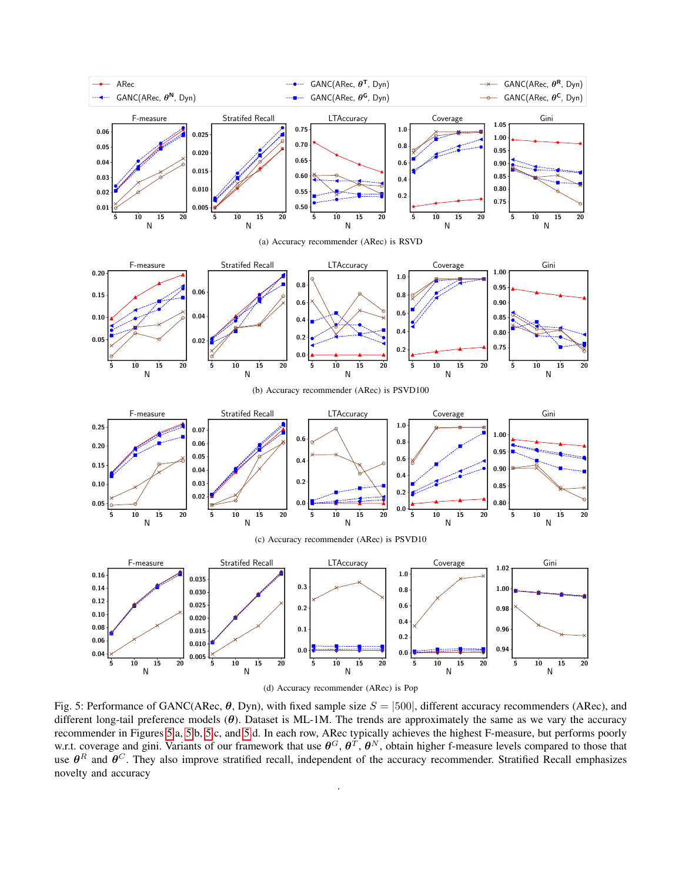<span id="page-8-0"></span>

Fig. 5: Performance of GANC(ARec,  $\theta$ , Dyn), with fixed sample size  $S = |500|$ , different accuracy recommenders (ARec), and different long-tail preference models  $(\theta)$ . Dataset is ML-1M. The trends are approximately the same as we vary the accuracy recommender in Figures [5.](#page-8-0)a, [5.](#page-8-0)b, [5.](#page-8-0)c, and [5.](#page-8-0)d. In each row, ARec typically achieves the highest F-measure, but performs poorly w.r.t. coverage and gini. Variants of our framework that use  $\theta^G$ ,  $\theta^T$ ,  $\theta^N$ , obtain higher f-measure levels compared to those that use  $\theta^R$  and  $\theta^C$ . They also improve stratified recall, independent of the accuracy recommender. Stratified Recall emphasizes novelty and accuracy

.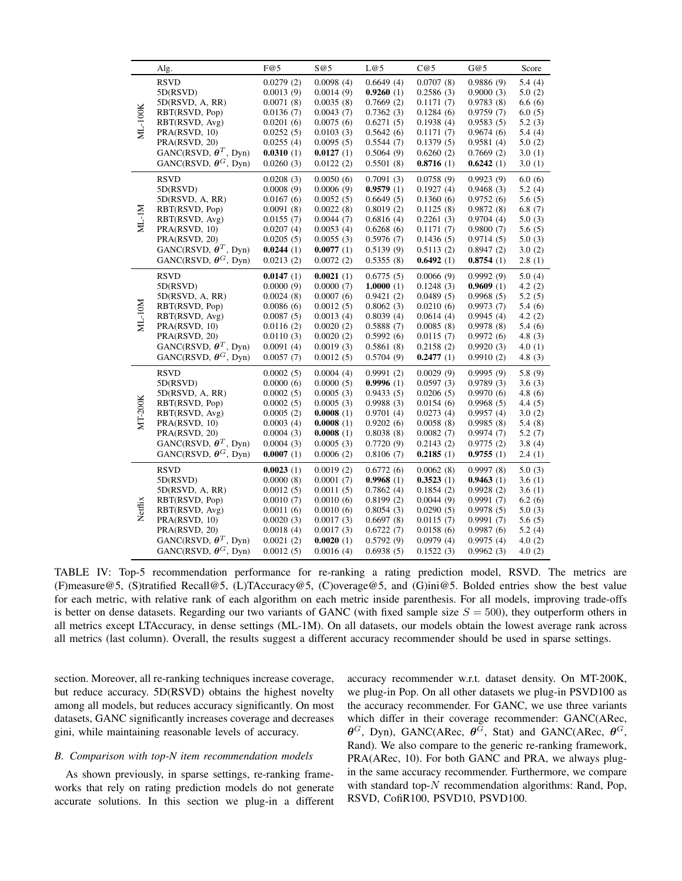<span id="page-9-0"></span>

|         | Alg.                                    | F@5       | S@5       | L@5          | C@5       | G@5       | Score     |
|---------|-----------------------------------------|-----------|-----------|--------------|-----------|-----------|-----------|
|         | <b>RSVD</b>                             | 0.0279(2) | 0.0098(4) | 0.6649(4)    | 0.0707(8) | 0.9886(9) | 5.4(4)    |
| ML-100K | 5D(RSVD)                                | 0.0013(9) | 0.0014(9) | 0.9260(1)    | 0.2586(3) | 0.9000(3) | 5.0(2)    |
|         | 5D(RSVD, A, RR)                         | 0.0071(8) | 0.0035(8) | 0.7669(2)    | 0.1171(7) | 0.9783(8) | 6.6(6)    |
|         | RBT(RSVD, Pop)                          | 0.0136(7) | 0.0043(7) | 0.7362(3)    | 0.1284(6) | 0.9759(7) | 6.0(5)    |
|         | RBT(RSVD, Avg)                          | 0.0201(6) | 0.0075(6) | 0.6271(5)    | 0.1938(4) | 0.9583(5) | 5.2(3)    |
|         | PRA(RSVD, 10)                           | 0.0252(5) | 0.0103(3) | 0.5642(6)    | 0.1171(7) | 0.9674(6) | 5.4 (4)   |
|         | PRA(RSVD, 20)                           | 0.0255(4) | 0.0095(5) | 0.5544(7)    | 0.1379(5) | 0.9581(4) | 5.0(2)    |
|         | GANC(RSVD, $\theta^T$ , Dyn)            | 0.0310(1) | 0.0127(1) | 0.5064(9)    | 0.6260(2) | 0.7669(2) | 3.0(1)    |
|         | GANC(RSVD, $\theta$ <sup>G</sup> , Dyn) | 0.0260(3) | 0.0122(2) | 0.5501(8)    | 0.8716(1) | 0.6242(1) | 3.0(1)    |
|         | <b>RSVD</b>                             | 0.0208(3) | 0.0050(6) | 0.7091(3)    | 0.0758(9) | 0.9923(9) | 6.0(6)    |
|         | 5D(RSVD)                                | 0.0008(9) | 0.0006(9) | 0.9579(1)    | 0.1927(4) | 0.9468(3) | 5.2(4)    |
|         | 5D(RSVD, A, RR)                         | 0.0167(6) | 0.0052(5) | 0.6649(5)    | 0.1360(6) | 0.9752(6) | 5.6(5)    |
|         | RBT(RSVD, Pop)                          | 0.0091(8) | 0.0022(8) | 0.8019(2)    | 0.1125(8) | 0.9872(8) | 6.8(7)    |
|         | RBT(RSVD, Avg)                          | 0.0155(7) | 0.0044(7) | 0.6816(4)    | 0.2261(3) | 0.9704(4) | 5.0(3)    |
| ML-IM   | PRA(RSVD, 10)                           | 0.0207(4) | 0.0053(4) | 0.6268(6)    | 0.1171(7) | 0.9800(7) | 5.6(5)    |
|         | PRA(RSVD, 20)                           | 0.0205(5) | 0.0055(3) | 0.5976(7)    | 0.1436(5) | 0.9714(5) | 5.0(3)    |
|         | GANC(RSVD, $\theta^T$ , Dyn)            | 0.0244(1) | 0.0077(1) | 0.5139(9)    | 0.5113(2) | 0.8947(2) | 3.0(2)    |
|         | GANC(RSVD, $\theta$ <sup>G</sup> , Dyn) | 0.0213(2) | 0.0072(2) | 0.5355(8)    | 0.6492(1) | 0.8754(1) | 2.8(1)    |
|         | <b>RSVD</b>                             | 0.0147(1) | 0.0021(1) | 0.6775(5)    | 0.0066(9) | 0.9992(9) | 5.0(4)    |
|         | 5D(RSVD)                                | 0.0000(9) | 0.0000(7) | 1.0000 $(1)$ | 0.1248(3) | 0.9609(1) | 4.2(2)    |
|         | 5D(RSVD, A, RR)                         | 0.0024(8) | 0.0007(6) | 0.9421(2)    | 0.0489(5) | 0.9968(5) | 5.2(5)    |
|         | RBT(RSVD, Pop)                          | 0.0086(6) | 0.0012(5) | 0.8062(3)    | 0.0210(6) | 0.9973(7) | 5.4(6)    |
| ML-10M  | RBT(RSVD, Avg)                          | 0.0087(5) | 0.0013(4) | 0.8039(4)    | 0.0614(4) | 0.9945(4) | 4.2 $(2)$ |
|         | PRA(RSVD, 10)                           | 0.0116(2) | 0.0020(2) | 0.5888(7)    | 0.0085(8) | 0.9978(8) | 5.4(6)    |
|         | PRA(RSVD, 20)                           | 0.0110(3) | 0.0020(2) | 0.5992(6)    | 0.0115(7) | 0.9972(6) | 4.8 (3)   |
|         | GANC(RSVD, $\theta^T$ , Dyn)            | 0.0091(4) | 0.0019(3) | 0.5861(8)    | 0.2158(2) | 0.9920(3) | 4.0(1)    |
|         | GANC(RSVD, $\theta$ <sup>G</sup> , Dyn) | 0.0057(7) | 0.0012(5) | 0.5704(9)    | 0.2477(1) | 0.9910(2) | 4.8(3)    |
|         | <b>RSVD</b>                             | 0.0002(5) | 0.0004(4) | 0.9991(2)    | 0.0029(9) | 0.9995(9) | 5.8(9)    |
|         | 5D(RSVD)                                | 0.0000(6) | 0.0000(5) | 0.9996(1)    | 0.0597(3) | 0.9789(3) | 3.6(3)    |
|         | 5D(RSVD, A, RR)                         | 0.0002(5) | 0.0005(3) | 0.9433(5)    | 0.0206(5) | 0.9970(6) | 4.8 (6)   |
|         | RBT(RSVD, Pop)                          | 0.0002(5) | 0.0005(3) | 0.9988(3)    | 0.0154(6) | 0.9968(5) | 4.4(5)    |
| MT-200K | RBT(RSVD, Avg)                          | 0.0005(2) | 0.0008(1) |              | 0.0273(4) | 0.9957(4) | 3.0(2)    |
|         |                                         |           |           | 0.9701(4)    |           |           |           |
|         | PRA(RSVD, 10)                           | 0.0003(4) | 0.0008(1) | 0.9202(6)    | 0.0058(8) | 0.9985(8) | 5.4(8)    |
|         | PRA(RSVD, 20)                           | 0.0004(3) | 0.0008(1) | 0.8038(8)    | 0.0082(7) | 0.9974(7) | 5.2(7)    |
|         | GANC(RSVD, $\theta^T$ , Dyn)            | 0.0004(3) | 0.0005(3) | 0.7720(9)    | 0.2143(2) | 0.9775(2) | 3.8(4)    |
|         | GANC(RSVD, $\theta$ <sup>G</sup> , Dyn) | 0.0007(1) | 0.0006(2) | 0.8106(7)    | 0.2185(1) | 0.9755(1) | 2.4(1)    |
|         | <b>RSVD</b>                             | 0.0023(1) | 0.0019(2) | 0.6772(6)    | 0.0062(8) | 0.9997(8) | 5.0(3)    |
|         | 5D(RSVD)                                | 0.0000(8) | 0.0001(7) | 0.9968(1)    | 0.3523(1) | 0.9463(1) | 3.6(1)    |
|         | 5D(RSVD, A, RR)                         | 0.0012(5) | 0.0011(5) | 0.7862(4)    | 0.1854(2) | 0.9928(2) | 3.6(1)    |
| Netflix | RBT(RSVD, Pop)                          | 0.0010(7) | 0.0010(6) | 0.8199(2)    | 0.0044(9) | 0.9991(7) | 6.2(6)    |
|         | RBT(RSVD, Avg)                          | 0.0011(6) | 0.0010(6) | 0.8054(3)    | 0.0290(5) | 0.9978(5) | 5.0(3)    |
|         | PRA(RSVD, 10)                           | 0.0020(3) | 0.0017(3) | 0.6697(8)    | 0.0115(7) | 0.9991(7) | 5.6(5)    |
|         | PRA(RSVD, 20)                           | 0.0018(4) | 0.0017(3) | 0.6722(7)    | 0.0158(6) | 0.9987(6) | 5.2(4)    |
|         | GANC(RSVD, $\theta^T$ , Dyn)            | 0.0021(2) | 0.0020(1) | 0.5792(9)    | 0.0979(4) | 0.9975(4) | 4.0(2)    |
|         | GANC(RSVD, $\theta$ <sup>G</sup> , Dyn) | 0.0012(5) | 0.0016(4) | 0.6938(5)    | 0.1522(3) | 0.9962(3) | 4.0(2)    |

TABLE IV: Top-5 recommendation performance for re-ranking a rating prediction model, RSVD. The metrics are (F)measure@5, (S)tratified Recall@5, (L)TAccuracy@5, (C)overage@5, and (G)ini@5. Bolded entries show the best value for each metric, with relative rank of each algorithm on each metric inside parenthesis. For all models, improving trade-offs is better on dense datasets. Regarding our two variants of GANC (with fixed sample size  $S = 500$ ), they outperform others in all metrics except LTAccuracy, in dense settings (ML-1M). On all datasets, our models obtain the lowest average rank across all metrics (last column). Overall, the results suggest a different accuracy recommender should be used in sparse settings.

section. Moreover, all re-ranking techniques increase coverage, but reduce accuracy. 5D(RSVD) obtains the highest novelty among all models, but reduces accuracy significantly. On most datasets, GANC significantly increases coverage and decreases gini, while maintaining reasonable levels of accuracy.

### *B. Comparison with top-N item recommendation models*

As shown previously, in sparse settings, re-ranking frameworks that rely on rating prediction models do not generate accurate solutions. In this section we plug-in a different accuracy recommender w.r.t. dataset density. On MT-200K, we plug-in Pop. On all other datasets we plug-in PSVD100 as the accuracy recommender. For GANC, we use three variants which differ in their coverage recommender: GANC(ARec,  $\theta$ <sup>G</sup>, Dyn), GANC(ARec,  $\theta$ <sup>G</sup>, Stat) and GANC(ARec,  $\theta$ <sup>G</sup>, Rand). We also compare to the generic re-ranking framework, PRA(ARec, 10). For both GANC and PRA, we always plugin the same accuracy recommender. Furthermore, we compare with standard top- $N$  recommendation algorithms: Rand, Pop, RSVD, CofiR100, PSVD10, PSVD100.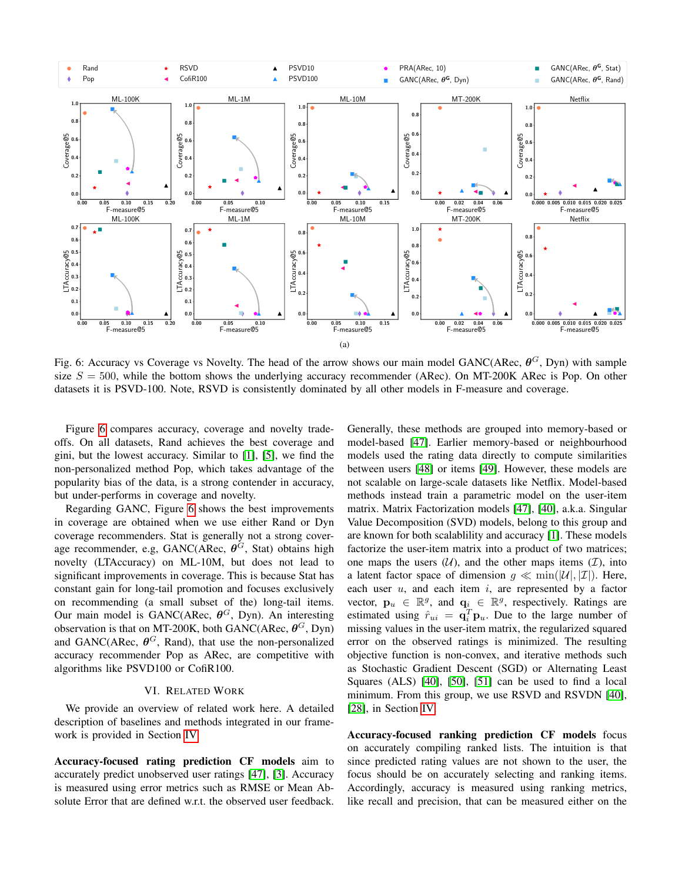<span id="page-10-1"></span>

Fig. 6: Accuracy vs Coverage vs Novelty. The head of the arrow shows our main model GANC(ARec,  $\theta^G$ , Dyn) with sample size  $S = 500$ , while the bottom shows the underlying accuracy recommender (ARec). On MT-200K ARec is Pop. On other datasets it is PSVD-100. Note, RSVD is consistently dominated by all other models in F-measure and coverage.

Figure [6](#page-10-1) compares accuracy, coverage and novelty tradeoffs. On all datasets, Rand achieves the best coverage and gini, but the lowest accuracy. Similar to [\[1\]](#page-12-0), [\[5\]](#page-12-4), we find the non-personalized method Pop, which takes advantage of the popularity bias of the data, is a strong contender in accuracy, but under-performs in coverage and novelty.

Regarding GANC, Figure [6](#page-10-1) shows the best improvements in coverage are obtained when we use either Rand or Dyn coverage recommenders. Stat is generally not a strong coverage recommender, e.g,  $GANC(ARec, \theta^G, Stat)$  obtains high novelty (LTAccuracy) on ML-10M, but does not lead to significant improvements in coverage. This is because Stat has constant gain for long-tail promotion and focuses exclusively on recommending (a small subset of the) long-tail items. Our main model is GANC(ARec,  $\theta$ <sup>G</sup>, Dyn). An interesting observation is that on MT-200K, both GANC(ARec,  $\theta$ <sup>G</sup>, Dyn) and GANC(ARec,  $\theta$ <sup>G</sup>, Rand), that use the non-personalized accuracy recommender Pop as ARec, are competitive with algorithms like PSVD100 or CofiR100.

## VI. RELATED WORK

<span id="page-10-0"></span>We provide an overview of related work here. A detailed description of baselines and methods integrated in our framework is provided in Section [IV.](#page-4-0)

Accuracy-focused rating prediction CF models aim to accurately predict unobserved user ratings [\[47\]](#page-12-46), [\[3\]](#page-12-2). Accuracy is measured using error metrics such as RMSE or Mean Absolute Error that are defined w.r.t. the observed user feedback. Generally, these methods are grouped into memory-based or model-based [\[47\]](#page-12-46). Earlier memory-based or neighbourhood models used the rating data directly to compute similarities between users [\[48\]](#page-12-47) or items [\[49\]](#page-13-2). However, these models are not scalable on large-scale datasets like Netflix. Model-based methods instead train a parametric model on the user-item matrix. Matrix Factorization models [\[47\]](#page-12-46), [\[40\]](#page-12-39), a.k.a. Singular Value Decomposition (SVD) models, belong to this group and are known for both scalablility and accuracy [\[1\]](#page-12-0). These models factorize the user-item matrix into a product of two matrices; one maps the users  $(U)$ , and the other maps items  $(\mathcal{I})$ , into a latent factor space of dimension  $g \ll \min(|\mathcal{U}|, |\mathcal{I}|)$ . Here, each user  $u$ , and each item  $i$ , are represented by a factor vector,  $\mathbf{p}_u \in \mathbb{R}^g$ , and  $\mathbf{q}_i \in \mathbb{R}^g$ , respectively. Ratings are estimated using  $\hat{r}_{ui} = \mathbf{q}_i^T \mathbf{p}_u$ . Due to the large number of missing values in the user-item matrix, the regularized squared error on the observed ratings is minimized. The resulting objective function is non-convex, and iterative methods such as Stochastic Gradient Descent (SGD) or Alternating Least Squares (ALS) [\[40\]](#page-12-39), [\[50\]](#page-13-3), [\[51\]](#page-13-4) can be used to find a local minimum. From this group, we use RSVD and RSVDN [\[40\]](#page-12-39), [\[28\]](#page-12-27), in Section [IV.](#page-4-0)

Accuracy-focused ranking prediction CF models focus on accurately compiling ranked lists. The intuition is that since predicted rating values are not shown to the user, the focus should be on accurately selecting and ranking items. Accordingly, accuracy is measured using ranking metrics, like recall and precision, that can be measured either on the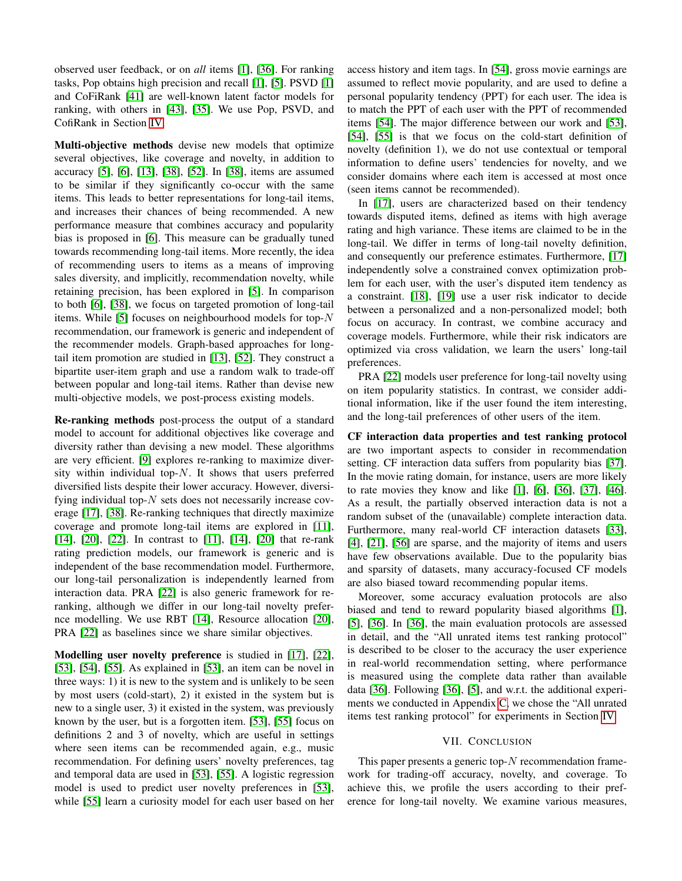observed user feedback, or on *all* items [\[1\]](#page-12-0), [\[36\]](#page-12-35). For ranking tasks, Pop obtains high precision and recall [\[1\]](#page-12-0), [\[5\]](#page-12-4). PSVD [\[1\]](#page-12-0) and CoFiRank [\[41\]](#page-12-40) are well-known latent factor models for ranking, with others in [\[43\]](#page-12-42), [\[35\]](#page-12-34). We use Pop, PSVD, and CofiRank in Section [IV.](#page-4-0)

Multi-objective methods devise new models that optimize several objectives, like coverage and novelty, in addition to accuracy [\[5\]](#page-12-4), [\[6\]](#page-12-5), [\[13\]](#page-12-12), [\[38\]](#page-12-37), [\[52\]](#page-13-5). In [\[38\]](#page-12-37), items are assumed to be similar if they significantly co-occur with the same items. This leads to better representations for long-tail items, and increases their chances of being recommended. A new performance measure that combines accuracy and popularity bias is proposed in [\[6\]](#page-12-5). This measure can be gradually tuned towards recommending long-tail items. More recently, the idea of recommending users to items as a means of improving sales diversity, and implicitly, recommendation novelty, while retaining precision, has been explored in [\[5\]](#page-12-4). In comparison to both [\[6\]](#page-12-5), [\[38\]](#page-12-37), we focus on targeted promotion of long-tail items. While [\[5\]](#page-12-4) focuses on neighbourhood models for top- $N$ recommendation, our framework is generic and independent of the recommender models. Graph-based approaches for longtail item promotion are studied in [\[13\]](#page-12-12), [\[52\]](#page-13-5). They construct a bipartite user-item graph and use a random walk to trade-off between popular and long-tail items. Rather than devise new multi-objective models, we post-process existing models.

Re-ranking methods post-process the output of a standard model to account for additional objectives like coverage and diversity rather than devising a new model. These algorithms are very efficient. [\[9\]](#page-12-8) explores re-ranking to maximize diversity within individual top- $N$ . It shows that users preferred diversified lists despite their lower accuracy. However, diversifying individual top- $N$  sets does not necessarily increase coverage [\[17\]](#page-12-16), [\[38\]](#page-12-37). Re-ranking techniques that directly maximize coverage and promote long-tail items are explored in [\[11\]](#page-12-10), [\[14\]](#page-12-13), [\[20\]](#page-12-19), [\[22\]](#page-12-21). In contrast to [\[11\]](#page-12-10), [14], [20] that re-rank rating prediction models, our framework is generic and is independent of the base recommendation model. Furthermore, our long-tail personalization is independently learned from interaction data. PRA [\[22\]](#page-12-21) is also generic framework for reranking, although we differ in our long-tail novelty prefernce modelling. We use RBT [\[14\]](#page-12-13), Resource allocation [\[20\]](#page-12-19), PRA [\[22\]](#page-12-21) as baselines since we share similar objectives.

Modelling user novelty preference is studied in [\[17\]](#page-12-16), [\[22\]](#page-12-21), [\[53\]](#page-13-6), [\[54\]](#page-13-7), [\[55\]](#page-13-8). As explained in [\[53\]](#page-13-6), an item can be novel in three ways: 1) it is new to the system and is unlikely to be seen by most users (cold-start), 2) it existed in the system but is new to a single user, 3) it existed in the system, was previously known by the user, but is a forgotten item. [\[53\]](#page-13-6), [\[55\]](#page-13-8) focus on definitions 2 and 3 of novelty, which are useful in settings where seen items can be recommended again, e.g., music recommendation. For defining users' novelty preferences, tag and temporal data are used in [\[53\]](#page-13-6), [\[55\]](#page-13-8). A logistic regression model is used to predict user novelty preferences in [\[53\]](#page-13-6), while [\[55\]](#page-13-8) learn a curiosity model for each user based on her access history and item tags. In [\[54\]](#page-13-7), gross movie earnings are assumed to reflect movie popularity, and are used to define a personal popularity tendency (PPT) for each user. The idea is to match the PPT of each user with the PPT of recommended items [\[54\]](#page-13-7). The major difference between our work and [\[53\]](#page-13-6), [\[54\]](#page-13-7), [\[55\]](#page-13-8) is that we focus on the cold-start definition of novelty (definition 1), we do not use contextual or temporal information to define users' tendencies for novelty, and we consider domains where each item is accessed at most once (seen items cannot be recommended).

In [\[17\]](#page-12-16), users are characterized based on their tendency towards disputed items, defined as items with high average rating and high variance. These items are claimed to be in the long-tail. We differ in terms of long-tail novelty definition, and consequently our preference estimates. Furthermore, [\[17\]](#page-12-16) independently solve a constrained convex optimization problem for each user, with the user's disputed item tendency as a constraint. [\[18\]](#page-12-17), [\[19\]](#page-12-18) use a user risk indicator to decide between a personalized and a non-personalized model; both focus on accuracy. In contrast, we combine accuracy and coverage models. Furthermore, while their risk indicators are optimized via cross validation, we learn the users' long-tail preferences.

PRA [\[22\]](#page-12-21) models user preference for long-tail novelty using on item popularity statistics. In contrast, we consider additional information, like if the user found the item interesting, and the long-tail preferences of other users of the item.

CF interaction data properties and test ranking protocol are two important aspects to consider in recommendation setting. CF interaction data suffers from popularity bias [\[37\]](#page-12-36). In the movie rating domain, for instance, users are more likely to rate movies they know and like [\[1\]](#page-12-0), [\[6\]](#page-12-5), [\[36\]](#page-12-35), [\[37\]](#page-12-36), [\[46\]](#page-12-45). As a result, the partially observed interaction data is not a random subset of the (unavailable) complete interaction data. Furthermore, many real-world CF interaction datasets [\[33\]](#page-12-32), [\[4\]](#page-12-3), [\[21\]](#page-12-20), [\[56\]](#page-13-9) are sparse, and the majority of items and users have few observations available. Due to the popularity bias and sparsity of datasets, many accuracy-focused CF models are also biased toward recommending popular items.

Moreover, some accuracy evaluation protocols are also biased and tend to reward popularity biased algorithms [\[1\]](#page-12-0), [\[5\]](#page-12-4), [\[36\]](#page-12-35). In [\[36\]](#page-12-35), the main evaluation protocols are assessed in detail, and the "All unrated items test ranking protocol" is described to be closer to the accuracy the user experience in real-world recommendation setting, where performance is measured using the complete data rather than available data [\[36\]](#page-12-35). Following [\[36\]](#page-12-35), [\[5\]](#page-12-4), and w.r.t. the additional experiments we conducted in Appendix [C,](#page-14-0) we chose the "All unrated items test ranking protocol" for experiments in Section [IV.](#page-4-0)

## VII. CONCLUSION

<span id="page-11-0"></span>This paper presents a generic top- $N$  recommendation framework for trading-off accuracy, novelty, and coverage. To achieve this, we profile the users according to their preference for long-tail novelty. We examine various measures,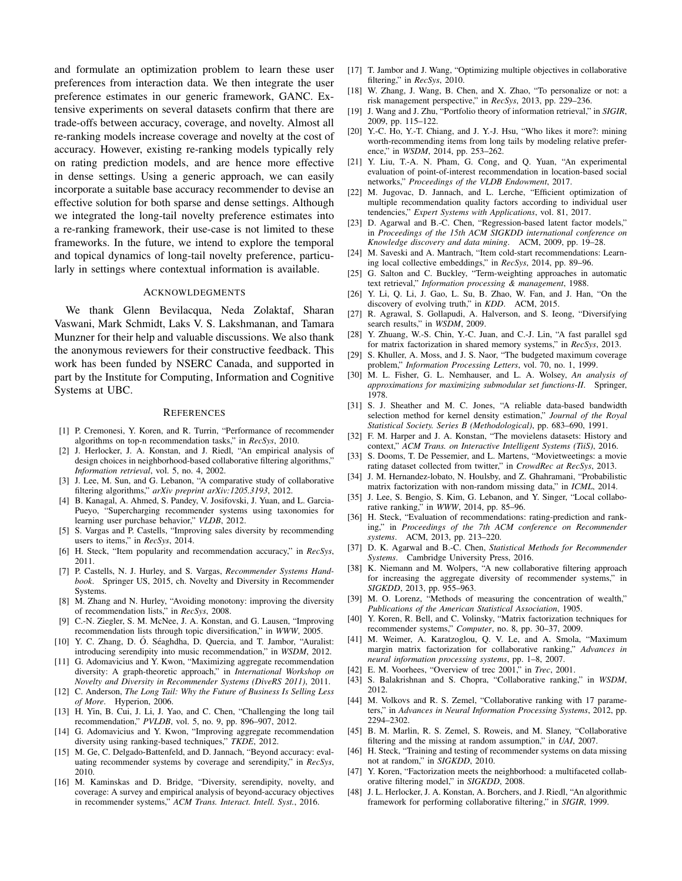and formulate an optimization problem to learn these user preferences from interaction data. We then integrate the user preference estimates in our generic framework, GANC. Extensive experiments on several datasets confirm that there are trade-offs between accuracy, coverage, and novelty. Almost all re-ranking models increase coverage and novelty at the cost of accuracy. However, existing re-ranking models typically rely on rating prediction models, and are hence more effective in dense settings. Using a generic approach, we can easily incorporate a suitable base accuracy recommender to devise an effective solution for both sparse and dense settings. Although we integrated the long-tail novelty preference estimates into a re-ranking framework, their use-case is not limited to these frameworks. In the future, we intend to explore the temporal and topical dynamics of long-tail novelty preference, particularly in settings where contextual information is available.

#### ACKNOWLDEGMENTS

We thank Glenn Bevilacqua, Neda Zolaktaf, Sharan Vaswani, Mark Schmidt, Laks V. S. Lakshmanan, and Tamara Munzner for their help and valuable discussions. We also thank the anonymous reviewers for their constructive feedback. This work has been funded by NSERC Canada, and supported in part by the Institute for Computing, Information and Cognitive Systems at UBC.

#### **REFERENCES**

- <span id="page-12-0"></span>[1] P. Cremonesi, Y. Koren, and R. Turrin, "Performance of recommender algorithms on top-n recommendation tasks," in *RecSys*, 2010.
- <span id="page-12-1"></span>[2] J. Herlocker, J. A. Konstan, and J. Riedl, "An empirical analysis of design choices in neighborhood-based collaborative filtering algorithms," *Information retrieval*, vol. 5, no. 4, 2002.
- <span id="page-12-2"></span>[3] J. Lee, M. Sun, and G. Lebanon, "A comparative study of collaborative filtering algorithms," *arXiv preprint arXiv:1205.3193*, 2012.
- <span id="page-12-3"></span>[4] B. Kanagal, A. Ahmed, S. Pandey, V. Josifovski, J. Yuan, and L. Garcia-Pueyo, "Supercharging recommender systems using taxonomies for learning user purchase behavior," *VLDB*, 2012.
- <span id="page-12-4"></span>[5] S. Vargas and P. Castells, "Improving sales diversity by recommending users to items," in *RecSys*, 2014.
- <span id="page-12-5"></span>[6] H. Steck, "Item popularity and recommendation accuracy," in *RecSys*, 2011.
- <span id="page-12-6"></span>[7] P. Castells, N. J. Hurley, and S. Vargas, *Recommender Systems Handbook*. Springer US, 2015, ch. Novelty and Diversity in Recommender Systems.
- <span id="page-12-7"></span>[8] M. Zhang and N. Hurley, "Avoiding monotony: improving the diversity of recommendation lists," in *RecSys*, 2008.
- <span id="page-12-8"></span>[9] C.-N. Ziegler, S. M. McNee, J. A. Konstan, and G. Lausen, "Improving recommendation lists through topic diversification," in *WWW*, 2005.
- <span id="page-12-9"></span>[10] Y. C. Zhang, D. Ó. Séaghdha, D. Quercia, and T. Jambor, "Auralist: introducing serendipity into music recommendation," in *WSDM*, 2012.
- <span id="page-12-10"></span>[11] G. Adomavicius and Y. Kwon, "Maximizing aggregate recommendation diversity: A graph-theoretic approach," in *International Workshop on Novelty and Diversity in Recommender Systems (DiveRS 2011)*, 2011.
- <span id="page-12-11"></span>[12] C. Anderson, *The Long Tail: Why the Future of Business Is Selling Less of More*. Hyperion, 2006.
- <span id="page-12-12"></span>[13] H. Yin, B. Cui, J. Li, J. Yao, and C. Chen, "Challenging the long tail recommendation," *PVLDB*, vol. 5, no. 9, pp. 896–907, 2012.
- <span id="page-12-13"></span>[14] G. Adomavicius and Y. Kwon, "Improving aggregate recommendation diversity using ranking-based techniques," *TKDE*, 2012.
- <span id="page-12-14"></span>[15] M. Ge, C. Delgado-Battenfeld, and D. Jannach, "Beyond accuracy: evaluating recommender systems by coverage and serendipity," in *RecSys*, 2010.
- <span id="page-12-15"></span>[16] M. Kaminskas and D. Bridge, "Diversity, serendipity, novelty, and coverage: A survey and empirical analysis of beyond-accuracy objectives in recommender systems," *ACM Trans. Interact. Intell. Syst.*, 2016.
- <span id="page-12-16"></span>[17] T. Jambor and J. Wang, "Optimizing multiple objectives in collaborative filtering," in *RecSys*, 2010.
- <span id="page-12-17"></span>[18] W. Zhang, J. Wang, B. Chen, and X. Zhao, "To personalize or not: a risk management perspective," in *RecSys*, 2013, pp. 229–236.
- <span id="page-12-18"></span>[19] J. Wang and J. Zhu, "Portfolio theory of information retrieval," in *SIGIR*, 2009, pp. 115–122.
- <span id="page-12-19"></span>[20] Y.-C. Ho, Y.-T. Chiang, and J. Y.-J. Hsu, "Who likes it more?: mining worth-recommending items from long tails by modeling relative preference," in *WSDM*, 2014, pp. 253–262.
- <span id="page-12-20"></span>[21] Y. Liu, T.-A. N. Pham, G. Cong, and Q. Yuan, "An experimental evaluation of point-of-interest recommendation in location-based social networks," *Proceedings of the VLDB Endowment*, 2017.
- <span id="page-12-21"></span>[22] M. Jugovac, D. Jannach, and L. Lerche, "Efficient optimization of multiple recommendation quality factors according to individual user tendencies," *Expert Systems with Applications*, vol. 81, 2017.
- <span id="page-12-22"></span>[23] D. Agarwal and B.-C. Chen, "Regression-based latent factor models," in *Proceedings of the 15th ACM SIGKDD international conference on Knowledge discovery and data mining*. ACM, 2009, pp. 19–28.
- <span id="page-12-23"></span>[24] M. Saveski and A. Mantrach, "Item cold-start recommendations: Learning local collective embeddings," in *RecSys*, 2014, pp. 89–96.
- <span id="page-12-24"></span>[25] G. Salton and C. Buckley, "Term-weighting approaches in automatic text retrieval," *Information processing & management*, 1988.
- <span id="page-12-25"></span>[26] Y. Li, Q. Li, J. Gao, L. Su, B. Zhao, W. Fan, and J. Han, "On the discovery of evolving truth," in *KDD*. ACM, 2015.
- <span id="page-12-26"></span>[27] R. Agrawal, S. Gollapudi, A. Halverson, and S. Ieong, "Diversifying search results," in *WSDM*, 2009.
- <span id="page-12-27"></span>[28] Y. Zhuang, W.-S. Chin, Y.-C. Juan, and C.-J. Lin, "A fast parallel sgd for matrix factorization in shared memory systems," in *RecSys*, 2013.
- <span id="page-12-28"></span>[29] S. Khuller, A. Moss, and J. S. Naor, "The budgeted maximum coverage problem," *Information Processing Letters*, vol. 70, no. 1, 1999.
- <span id="page-12-29"></span>[30] M. L. Fisher, G. L. Nemhauser, and L. A. Wolsey, *An analysis of approximations for maximizing submodular set functions-II*. Springer, 1978.
- <span id="page-12-30"></span>[31] S. J. Sheather and M. C. Jones, "A reliable data-based bandwidth selection method for kernel density estimation," *Journal of the Royal Statistical Society. Series B (Methodological)*, pp. 683–690, 1991.
- <span id="page-12-31"></span>[32] F. M. Harper and J. A. Konstan, "The movielens datasets: History and context," *ACM Trans. on Interactive Intelligent Systems (TiiS)*, 2016.
- <span id="page-12-32"></span>[33] S. Dooms, T. De Pessemier, and L. Martens, "Movietweetings: a movie rating dataset collected from twitter," in *CrowdRec at RecSys*, 2013.
- <span id="page-12-33"></span>[34] J. M. Hernandez-lobato, N. Houlsby, and Z. Ghahramani, "Probabilistic matrix factorization with non-random missing data," in *ICML*, 2014.
- <span id="page-12-34"></span>[35] J. Lee, S. Bengio, S. Kim, G. Lebanon, and Y. Singer, "Local collaborative ranking," in *WWW*, 2014, pp. 85–96.
- <span id="page-12-35"></span>[36] H. Steck, "Evaluation of recommendations: rating-prediction and ranking," in *Proceedings of the 7th ACM conference on Recommender systems*. ACM, 2013, pp. 213–220.
- <span id="page-12-36"></span>[37] D. K. Agarwal and B.-C. Chen, *Statistical Methods for Recommender Systems*. Cambridge University Press, 2016.
- <span id="page-12-37"></span>[38] K. Niemann and M. Wolpers, "A new collaborative filtering approach for increasing the aggregate diversity of recommender systems," in *SIGKDD*, 2013, pp. 955–963.
- <span id="page-12-38"></span>[39] M. O. Lorenz, "Methods of measuring the concentration of wealth," *Publications of the American Statistical Association*, 1905.
- <span id="page-12-39"></span>[40] Y. Koren, R. Bell, and C. Volinsky, "Matrix factorization techniques for recommender systems," *Computer*, no. 8, pp. 30–37, 2009.
- <span id="page-12-40"></span>[41] M. Weimer, A. Karatzoglou, Q. V. Le, and A. Smola, "Maximum margin matrix factorization for collaborative ranking," *Advances in neural information processing systems*, pp. 1–8, 2007.
- <span id="page-12-41"></span>[42] E. M. Voorhees, "Overview of trec 2001," in *Trec*, 2001.
- <span id="page-12-42"></span>[43] S. Balakrishnan and S. Chopra, "Collaborative ranking," in *WSDM*, 2012.
- <span id="page-12-43"></span>[44] M. Volkovs and R. S. Zemel, "Collaborative ranking with 17 parameters," in *Advances in Neural Information Processing Systems*, 2012, pp. 2294–2302.
- <span id="page-12-44"></span>[45] B. M. Marlin, R. S. Zemel, S. Roweis, and M. Slaney, "Collaborative filtering and the missing at random assumption," in *UAI*, 2007.
- <span id="page-12-45"></span>[46] H. Steck, "Training and testing of recommender systems on data missing not at random," in *SIGKDD*, 2010.
- <span id="page-12-46"></span>[47] Y. Koren, "Factorization meets the neighborhood: a multifaceted collaborative filtering model," in *SIGKDD*, 2008.
- <span id="page-12-47"></span>[48] J. L. Herlocker, J. A. Konstan, A. Borchers, and J. Riedl, "An algorithmic framework for performing collaborative filtering," in *SIGIR*, 1999.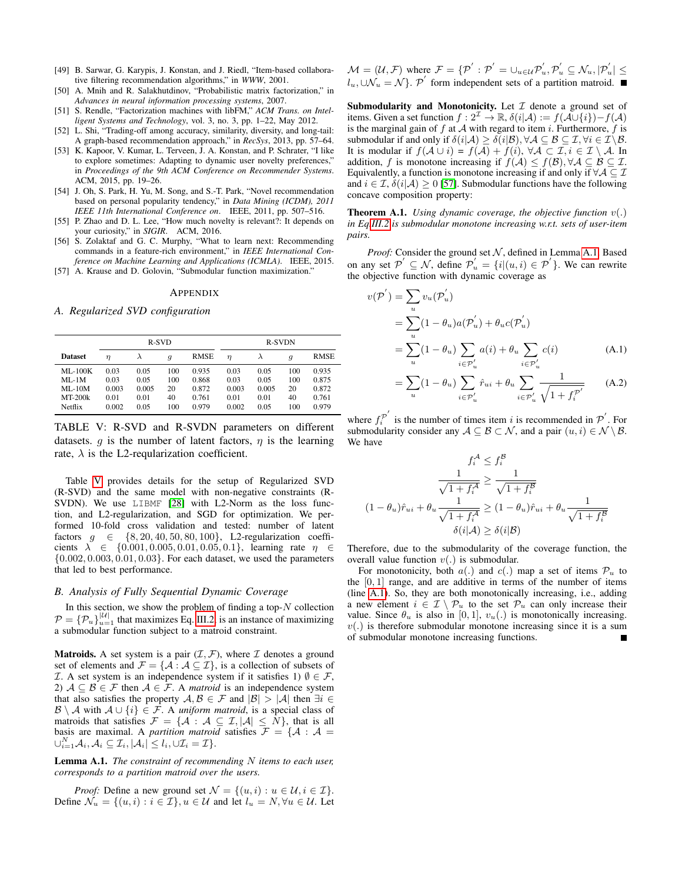- <span id="page-13-2"></span>[49] B. Sarwar, G. Karypis, J. Konstan, and J. Riedl, "Item-based collaborative filtering recommendation algorithms," in *WWW*, 2001.
- <span id="page-13-3"></span>[50] A. Mnih and R. Salakhutdinov, "Probabilistic matrix factorization," in *Advances in neural information processing systems*, 2007.
- <span id="page-13-4"></span>[51] S. Rendle, "Factorization machines with libFM," *ACM Trans. on Intelligent Systems and Technology*, vol. 3, no. 3, pp. 1–22, May 2012.
- <span id="page-13-5"></span>[52] L. Shi, "Trading-off among accuracy, similarity, diversity, and long-tail: A graph-based recommendation approach," in *RecSys*, 2013, pp. 57–64.
- <span id="page-13-6"></span>[53] K. Kapoor, V. Kumar, L. Terveen, J. A. Konstan, and P. Schrater, "I like to explore sometimes: Adapting to dynamic user novelty preferences," in *Proceedings of the 9th ACM Conference on Recommender Systems*. ACM, 2015, pp. 19–26.
- <span id="page-13-7"></span>[54] J. Oh, S. Park, H. Yu, M. Song, and S.-T. Park, "Novel recommendation based on personal popularity tendency," in *Data Mining (ICDM), 2011 IEEE 11th International Conference on*. IEEE, 2011, pp. 507–516.
- <span id="page-13-8"></span>[55] P. Zhao and D. L. Lee, "How much novelty is relevant?: It depends on your curiosity," in *SIGIR*. ACM, 2016.
- <span id="page-13-9"></span>[56] S. Zolaktaf and G. C. Murphy, "What to learn next: Recommending commands in a feature-rich environment," in *IEEE International Conference on Machine Learning and Applications (ICMLA)*. IEEE, 2015.
- <span id="page-13-11"></span>[57] A. Krause and D. Golovin, "Submodular function maximization."

#### APPENDIX

<span id="page-13-1"></span>*A. Regularized SVD configuration*

<span id="page-13-10"></span>

|                                                                | R-SVD                                  |                                       |                               |                                           | <b>R-SVDN</b>                          |                                       |                               |                                           |
|----------------------------------------------------------------|----------------------------------------|---------------------------------------|-------------------------------|-------------------------------------------|----------------------------------------|---------------------------------------|-------------------------------|-------------------------------------------|
| <b>Dataset</b>                                                 | $\eta$                                 | λ                                     | $\boldsymbol{q}$              | <b>RMSE</b>                               | $\eta$                                 | $\lambda$                             | $\boldsymbol{q}$              | <b>RMSE</b>                               |
| $MI - 100K$<br>$MI - 1M$<br>$MI - 10M$<br>$MT-200k$<br>Netflix | 0.03<br>0.03<br>0.003<br>0.01<br>0.002 | 0.05<br>0.05<br>0.005<br>0.01<br>0.05 | 100<br>100<br>20<br>40<br>100 | 0.935<br>0.868<br>0.872<br>0.761<br>0.979 | 0.03<br>0.03<br>0.003<br>0.01<br>0.002 | 0.05<br>0.05<br>0.005<br>0.01<br>0.05 | 100<br>100<br>20<br>40<br>100 | 0.935<br>0.875<br>0.872<br>0.761<br>0.979 |

TABLE V: R-SVD and R-SVDN parameters on different datasets. g is the number of latent factors,  $\eta$  is the learning rate,  $\lambda$  is the L2-reqularization coefficient.

Table [V](#page-13-10) provides details for the setup of Regularized SVD (R-SVD) and the same model with non-negative constraints (R-SVDN). We use LIBMF [\[28\]](#page-12-27) with L2-Norm as the loss function, and L2-regularization, and SGD for optimization. We performed 10-fold cross validation and tested: number of latent factors  $g \in \{8, 20, 40, 50, 80, 100\}$ , L2-regularization coefficients  $\lambda \in \{0.001, 0.005, 0.01, 0.05, 0.1\}$ , learning rate  $\eta \in$  $\{0.002, 0.003, 0.01, 0.03\}$ . For each dataset, we used the parameters that led to best performance.

#### <span id="page-13-0"></span>*B. Analysis of Fully Sequential Dynamic Coverage*

In this section, we show the problem of finding a top- $N$  collection  $P = \{P_u\}_{u=1}^{|U|}$  that maximizes Eq. [III.2,](#page-3-4) is an instance of maximizing a submodular function subject to a matroid constraint.

**Matroids.** A set system is a pair  $(\mathcal{I}, \mathcal{F})$ , where  $\mathcal{I}$  denotes a ground set of elements and  $\mathcal{F} = \{ \mathcal{A} : \mathcal{A} \subseteq \mathcal{I} \}$ , is a collection of subsets of *I*. A set system is an independence system if it satisfies 1)  $\emptyset \in \mathcal{F}$ , 2)  $A \subseteq B \in \mathcal{F}$  then  $A \in \mathcal{F}$ . A *matroid* is an independence system that also satisfies the property  $\mathcal{A}, \mathcal{B} \in \mathcal{F}$  and  $|\mathcal{B}| > |\mathcal{A}|$  then  $\exists i \in$ B \ A with  $A \cup \{i\} \in \mathcal{F}$ . A *uniform matroid*, is a special class of matroids that satisfies  $\mathcal{F} = \{ \mathcal{A} : \mathcal{A} \subseteq \mathcal{I}, |\mathcal{A}| \leq N \}$ , that is all basis are maximal. A *partition matroid* satisfies  $F = \{A : A =$  $\cup_{i=1}^N \mathcal{A}_i, \mathcal{A}_i \subseteq \mathcal{I}_i, |\mathcal{A}_i| \leq l_i, \cup \mathcal{I}_i = \mathcal{I} \}.$ 

<span id="page-13-12"></span>Lemma A.1. *The constraint of recommending* N *items to each user, corresponds to a partition matroid over the users.*

*Proof:* Define a new ground set  $\mathcal{N} = \{(u, i) : u \in \mathcal{U}, i \in \mathcal{I}\}.$ Define  $\mathcal{N}_u = \{(u, i) : i \in \mathcal{I}\}, u \in \mathcal{U}$  and let  $l_u = N, \forall u \in \mathcal{U}$ . Let  $\mathcal{M} = (\mathcal{U}, \mathcal{F})$  where  $\mathcal{F} = \{ \mathcal{P}^{'}: \mathcal{P}^{'} = \cup_{u \in \mathcal{U}} \mathcal{P}^{'}_u, \mathcal{P}^{'}_u \subseteq \mathcal{N}_u, |\mathcal{P}^{'}_u| \leq \epsilon \}$  $l_u, \cup \mathcal{N}_u = \mathcal{N}$ . P' form independent sets of a partition matroid.

Submodularity and Monotonicity. Let  $\mathcal I$  denote a ground set of items. Given a set function  $f: 2^{\mathcal{I}} \to \mathbb{R}$ ,  $\delta(i|\mathcal{A}) := f(\mathcal{A} \cup \{i\}) - f(\mathcal{A})$ is the marginal gain of  $f$  at  $A$  with regard to item  $i$ . Furthermore,  $f$  is submodular if and only if  $\delta(i|\mathcal{A}) \geq \delta(i|\mathcal{B}), \forall \mathcal{A} \subseteq \mathcal{B} \subseteq \mathcal{I}, \forall i \in \mathcal{I} \backslash \mathcal{B}.$ It is modular if  $f(A \cup i) = f(A) + f(i)$ ,  $\forall A \subset \mathcal{I}, i \in \mathcal{I} \setminus \mathcal{A}$ . In addition, f is monotone increasing if  $f(A) \leq f(\mathcal{B})$ ,  $\forall A \subseteq \mathcal{B} \subseteq \mathcal{I}$ . Equivalently, a function is monotone increasing if and only if  $\forall A \subseteq \mathcal{I}$ and  $i \in \mathcal{I}, \delta(i|\mathcal{A}) \geq 0$  [\[57\]](#page-13-11). Submodular functions have the following concave composition property:

Theorem A.1. *Using dynamic coverage, the objective function* v(.) *in Eq[.III.2](#page-3-4) is submodular monotone increasing w.r.t. sets of user-item pairs.*

*Proof:* Consider the ground set  $N$ , defined in Lemma [A.1.](#page-13-12) Based on any set  $\mathcal{P}' \subseteq \mathcal{N}$ , define  $\mathcal{P}'_u = \{i | (u, i) \in \mathcal{P}'\}$ . We can rewrite the objective function with dynamic coverage as

$$
v(\mathcal{P}') = \sum_{u} v_u(\mathcal{P}'_u)
$$
  
= 
$$
\sum_{u} (1 - \theta_u) a(\mathcal{P}'_u) + \theta_u c(\mathcal{P}'_u)
$$
  
= 
$$
\sum_{u} (1 - \theta_u) \sum_{i \in \mathcal{P}'_u} a(i) + \theta_u \sum_{i \in \mathcal{P}'_u} c(i)
$$
 (A.1)

<span id="page-13-13"></span>
$$
= \sum_{u} (1 - \theta_u) \sum_{i \in \mathcal{P}'_u} \hat{r}_{ui} + \theta_u \sum_{i \in \mathcal{P}'_u} \frac{1}{\sqrt{1 + f_i^{\mathcal{P}'}}} \tag{A.2}
$$

where  $f_i^{\mathcal{P}'}$  $i^{\mathcal{P}'}$  is the number of times item i is recommended in  $\mathcal{P}'$ . For submodularity consider any  $A \subseteq B \subset \mathcal{N}$ , and a pair  $(u, i) \in \mathcal{N} \setminus \mathcal{B}$ . We have

$$
f_i^{\mathcal{A}} \le f_i^{\mathcal{B}}
$$

$$
\frac{1}{\sqrt{1 + f_i^{\mathcal{A}}}} \ge \frac{1}{\sqrt{1 + f_i^{\mathcal{B}}}}
$$

$$
(1 - \theta_u)\hat{r}_{ui} + \theta_u \frac{1}{\sqrt{1 + f_i^{\mathcal{A}}}} \ge (1 - \theta_u)\hat{r}_{ui} + \theta_u \frac{1}{\sqrt{1 + f_i^{\mathcal{B}}}}
$$

$$
\delta(i|\mathcal{A}) \ge \delta(i|\mathcal{B})
$$

Therefore, due to the submodularity of the coverage function, the overall value function  $v(.)$  is submodular.

For monotonicity, both  $a(.)$  and  $c(.)$  map a set of items  $\mathcal{P}_u$  to the  $[0, 1]$  range, and are additive in terms of the number of items (line [A.1\)](#page-13-13). So, they are both monotonically increasing, i.e., adding a new element  $i \in \mathcal{I} \setminus \mathcal{P}_u$  to the set  $\mathcal{P}_u$  can only increase their value. Since  $\theta_u$  is also in [0, 1],  $v_u(.)$  is monotonically increasing.  $v(.)$  is therefore submodular monotone increasing since it is a sum of submodular monotone increasing functions.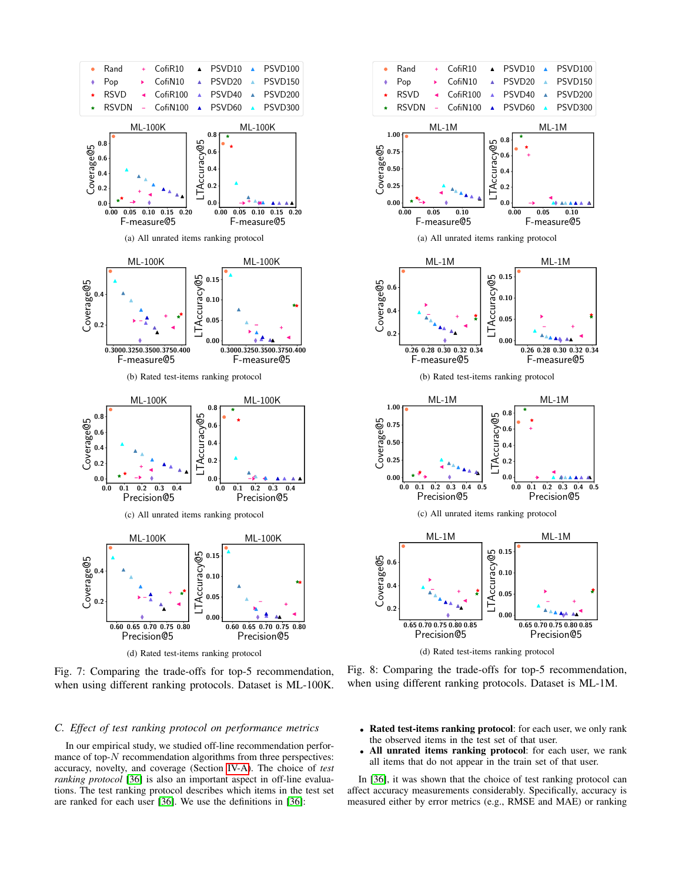<span id="page-14-1"></span>

Fig. 7: Comparing the trade-offs for top-5 recommendation, when using different ranking protocols. Dataset is ML-100K.

## <span id="page-14-0"></span>*C. Effect of test ranking protocol on performance metrics*

In our empirical study, we studied off-line recommendation performance of top- $N$  recommendation algorithms from three perspectives: accuracy, novelty, and coverage (Section [IV-A\)](#page-4-1). The choice of *test ranking protocol* [\[36\]](#page-12-35) is also an important aspect in off-line evaluations. The test ranking protocol describes which items in the test set are ranked for each user [\[36\]](#page-12-35). We use the definitions in [\[36\]](#page-12-35):

<span id="page-14-2"></span>

(d) Rated test-items ranking protocol

Fig. 8: Comparing the trade-offs for top-5 recommendation, when using different ranking protocols. Dataset is ML-1M.

- Rated test-items ranking protocol: for each user, we only rank the observed items in the test set of that user.
- All unrated items ranking protocol: for each user, we rank all items that do not appear in the train set of that user.

In [\[36\]](#page-12-35), it was shown that the choice of test ranking protocol can affect accuracy measurements considerably. Specifically, accuracy is measured either by error metrics (e.g., RMSE and MAE) or ranking